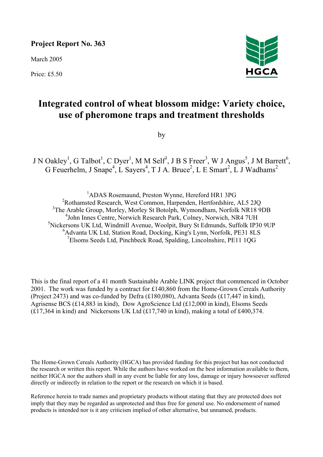# **Project Report No. 363**

March 2005

Price: £5.50



# **Integrated control of wheat blossom midge: Variety choice, use of pheromone traps and treatment thresholds**

by

J N Oakley<sup>1</sup>, G Talbot<sup>1</sup>, C Dyer<sup>1</sup>, M M Self<sup>3</sup>, J B S Freer<sup>3</sup>, W J Angus<sup>5</sup>, J M Barrett<sup>6</sup>, G Feuerhelm, J Snape<sup>4</sup>, L Sayers<sup>4</sup>, T J A. Bruce<sup>2</sup>, L E Smart<sup>2</sup>, L J Wadhams<sup>2</sup>

 ADAS Rosemaund, Preston Wynne, Hereford HR1 3PG Rothamsted Research, West Common, Harpenden, Hertfordshire, AL5 2JQ <sup>3</sup>The Arable Group, Morley, Morley St Botolph, Wymondham, Norfolk NR18 9DB John Innes Centre, Norwich Research Park, Colney, Norwich, NR4 7UH Nickersons UK Ltd, Windmill Avenue, Woolpit, Bury St Edmunds, Suffolk IP30 9UP Advanta UK Ltd, Station Road, Docking, King's Lynn, Norfolk, PE31 8LS Elsoms Seeds Ltd, Pinchbeck Road, Spalding, Lincolnshire, PE11 1QG

This is the final report of a 41 month Sustainable Arable LINK project that commenced in October 2001. The work was funded by a contract for £140,860 from the Home-Grown Cereals Authority (Project 2473) and was co-funded by Defra (£180,080), Advanta Seeds (£17,447 in kind), Agrisense BCS (£14,883 in kind), Dow AgroScience Ltd (£12,000 in kind), Elsoms Seeds (£17,364 in kind) and Nickersons UK Ltd (£17,740 in kind), making a total of £400,374.

The Home-Grown Cereals Authority (HGCA) has provided funding for this project but has not conducted the research or written this report. While the authors have worked on the best information available to them, neither HGCA nor the authors shall in any event be liable for any loss, damage or injury howsoever suffered directly or indirectly in relation to the report or the research on which it is based.

Reference herein to trade names and proprietary products without stating that they are protected does not imply that they may be regarded as unprotected and thus free for general use. No endorsement of named products is intended nor is it any criticism implied of other alternative, but unnamed, products.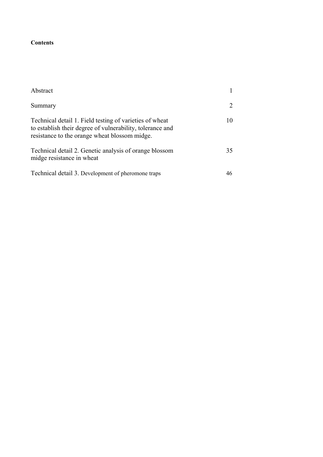# **Contents**

| Abstract                                                                                                                                                              |    |
|-----------------------------------------------------------------------------------------------------------------------------------------------------------------------|----|
| Summary                                                                                                                                                               |    |
| Technical detail 1. Field testing of varieties of wheat<br>to establish their degree of vulnerability, tolerance and<br>resistance to the orange wheat blossom midge. | 10 |
| Technical detail 2. Genetic analysis of orange blossom<br>midge resistance in wheat                                                                                   | 35 |
| Technical detail 3. Development of pheromone traps                                                                                                                    |    |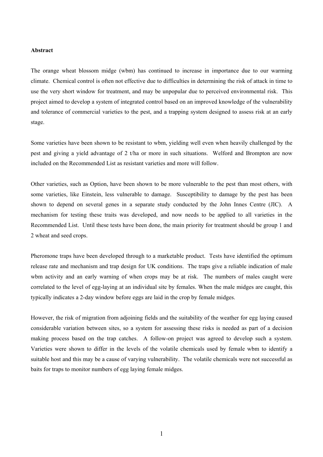### **Abstract**

The orange wheat blossom midge (wbm) has continued to increase in importance due to our warming climate. Chemical control is often not effective due to difficulties in determining the risk of attack in time to use the very short window for treatment, and may be unpopular due to perceived environmental risk. This project aimed to develop a system of integrated control based on an improved knowledge of the vulnerability and tolerance of commercial varieties to the pest, and a trapping system designed to assess risk at an early stage.

Some varieties have been shown to be resistant to wbm, yielding well even when heavily challenged by the pest and giving a yield advantage of 2 t/ha or more in such situations. Welford and Brompton are now included on the Recommended List as resistant varieties and more will follow.

Other varieties, such as Option, have been shown to be more vulnerable to the pest than most others, with some varieties, like Einstein, less vulnerable to damage. Susceptibility to damage by the pest has been shown to depend on several genes in a separate study conducted by the John Innes Centre (JIC). A mechanism for testing these traits was developed, and now needs to be applied to all varieties in the Recommended List. Until these tests have been done, the main priority for treatment should be group 1 and 2 wheat and seed crops.

Pheromone traps have been developed through to a marketable product. Tests have identified the optimum release rate and mechanism and trap design for UK conditions. The traps give a reliable indication of male wbm activity and an early warning of when crops may be at risk. The numbers of males caught were correlated to the level of egg-laying at an individual site by females. When the male midges are caught, this typically indicates a 2-day window before eggs are laid in the crop by female midges.

However, the risk of migration from adjoining fields and the suitability of the weather for egg laying caused considerable variation between sites, so a system for assessing these risks is needed as part of a decision making process based on the trap catches. A follow-on project was agreed to develop such a system. Varieties were shown to differ in the levels of the volatile chemicals used by female wbm to identify a suitable host and this may be a cause of varying vulnerability. The volatile chemicals were not successful as baits for traps to monitor numbers of egg laying female midges.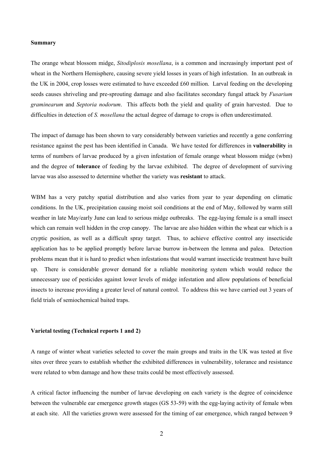### **Summary**

The orange wheat blossom midge, *Sitodiplosis mosellana*, is a common and increasingly important pest of wheat in the Northern Hemisphere, causing severe yield losses in years of high infestation. In an outbreak in the UK in 2004, crop losses were estimated to have exceeded £60 million. Larval feeding on the developing seeds causes shriveling and pre-sprouting damage and also facilitates secondary fungal attack by *Fusarium graminearum* and *Septoria nodorum*. This affects both the yield and quality of grain harvested. Due to difficulties in detection of *S. mosellana* the actual degree of damage to crops is often underestimated.

The impact of damage has been shown to vary considerably between varieties and recently a gene conferring resistance against the pest has been identified in Canada. We have tested for differences in **vulnerability** in terms of numbers of larvae produced by a given infestation of female orange wheat blossom midge (wbm) and the degree of **tolerance** of feeding by the larvae exhibited. The degree of development of surviving larvae was also assessed to determine whether the variety was **resistant** to attack.

WBM has a very patchy spatial distribution and also varies from year to year depending on climatic conditions. In the UK, precipitation causing moist soil conditions at the end of May, followed by warm still weather in late May/early June can lead to serious midge outbreaks. The egg-laying female is a small insect which can remain well hidden in the crop canopy. The larvae are also hidden within the wheat ear which is a cryptic position, as well as a difficult spray target. Thus, to achieve effective control any insecticide application has to be applied promptly before larvae burrow in-between the lemma and palea. Detection problems mean that it is hard to predict when infestations that would warrant insecticide treatment have built up. There is considerable grower demand for a reliable monitoring system which would reduce the unnecessary use of pesticides against lower levels of midge infestation and allow populations of beneficial insects to increase providing a greater level of natural control. To address this we have carried out 3 years of field trials of semiochemical baited traps.

# **Varietal testing (Technical reports 1 and 2)**

A range of winter wheat varieties selected to cover the main groups and traits in the UK was tested at five sites over three years to establish whether the exhibited differences in vulnerability, tolerance and resistance were related to wbm damage and how these traits could be most effectively assessed.

A critical factor influencing the number of larvae developing on each variety is the degree of coincidence between the vulnerable ear emergence growth stages (GS 53-59) with the egg-laying activity of female wbm at each site. All the varieties grown were assessed for the timing of ear emergence, which ranged between 9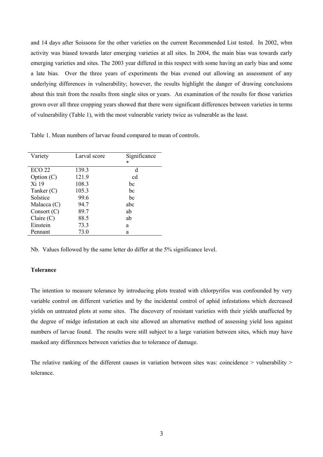and 14 days after Soissons for the other varieties on the current Recommended List tested. In 2002, wbm activity was biased towards later emerging varieties at all sites. In 2004, the main bias was towards early emerging varieties and sites. The 2003 year differed in this respect with some having an early bias and some a late bias. Over the three years of experiments the bias evened out allowing an assessment of any underlying differences in vulnerability; however, the results highlight the danger of drawing conclusions about this trait from the results from single sites or years. An examination of the results for those varieties grown over all three cropping years showed that there were significant differences between varieties in terms of vulnerability (Table 1), with the most vulnerable variety twice as vulnerable as the least.

Table 1. Mean numbers of larvae found compared to mean of controls.

| Variety           | Larval score | Significance<br>* |
|-------------------|--------------|-------------------|
|                   |              |                   |
| ECO <sub>22</sub> | 139.3        | d                 |
| Option $(C)$      | 121.9        | cd                |
| Xi 19             | 108.3        | bc                |
| Tanker $(C)$      | 105.3        | bc                |
| Solstice          | 99.6         | bc                |
| Malacca $(C)$     | 94.7         | abc               |
| Consort $(C)$     | 89.7         | ab                |
| Claire $(C)$      | 88.5         | ab                |
| Einstein          | 73.3         | a                 |
| Pennant           | 73.0         | a                 |

Nb. Values followed by the same letter do differ at the 5% significance level.

# **Tolerance**

The intention to measure tolerance by introducing plots treated with chlorpyrifos was confounded by very variable control on different varieties and by the incidental control of aphid infestations which decreased yields on untreated plots at some sites. The discovery of resistant varieties with their yields unaffected by the degree of midge infestation at each site allowed an alternative method of assessing yield loss against numbers of larvae found. The results were still subject to a large variation between sites, which may have masked any differences between varieties due to tolerance of damage.

The relative ranking of the different causes in variation between sites was: coincidence > vulnerability > tolerance.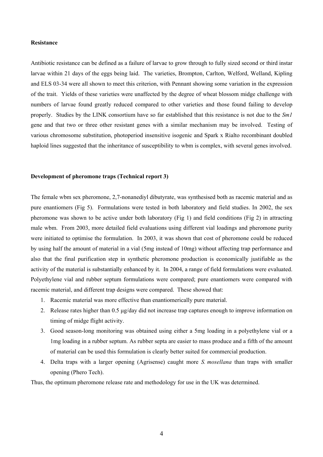### **Resistance**

Antibiotic resistance can be defined as a failure of larvae to grow through to fully sized second or third instar larvae within 21 days of the eggs being laid. The varieties, Brompton, Carlton, Welford, Welland, Kipling and ELS 03-34 were all shown to meet this criterion, with Pennant showing some variation in the expression of the trait. Yields of these varieties were unaffected by the degree of wheat blossom midge challenge with numbers of larvae found greatly reduced compared to other varieties and those found failing to develop properly. Studies by the LINK consortium have so far established that this resistance is not due to the *Sm1* gene and that two or three other resistant genes with a similar mechanism may be involved. Testing of various chromosome substitution, photoperiod insensitive isogenic and Spark x Rialto recombinant doubled haploid lines suggested that the inheritance of susceptibility to wbm is complex, with several genes involved.

### **Development of pheromone traps (Technical report 3)**

The female wbm sex pheromone, 2,7-nonanediyl dibutyrate, was synthesised both as racemic material and as pure enantiomers (Fig 5). Formulations were tested in both laboratory and field studies. In 2002, the sex pheromone was shown to be active under both laboratory (Fig 1) and field conditions (Fig 2) in attracting male wbm. From 2003, more detailed field evaluations using different vial loadings and pheromone purity were initiated to optimise the formulation. In 2003, it was shown that cost of pheromone could be reduced by using half the amount of material in a vial (5mg instead of 10mg) without affecting trap performance and also that the final purification step in synthetic pheromone production is economically justifiable as the activity of the material is substantially enhanced by it. In 2004, a range of field formulations were evaluated. Polyethylene vial and rubber septum formulations were compared; pure enantiomers were compared with racemic material, and different trap designs were compared. These showed that:

- 1. Racemic material was more effective than enantiomerically pure material.
- 2. Release rates higher than 0.5 µg/day did not increase trap captures enough to improve information on timing of midge flight activity.
- 3. Good season-long monitoring was obtained using either a 5mg loading in a polyethylene vial or a 1mg loading in a rubber septum. As rubber septa are easier to mass produce and a fifth of the amount of material can be used this formulation is clearly better suited for commercial production.
- 4. Delta traps with a larger opening (Agrisense) caught more *S. mosellana* than traps with smaller opening (Phero Tech).

Thus, the optimum pheromone release rate and methodology for use in the UK was determined.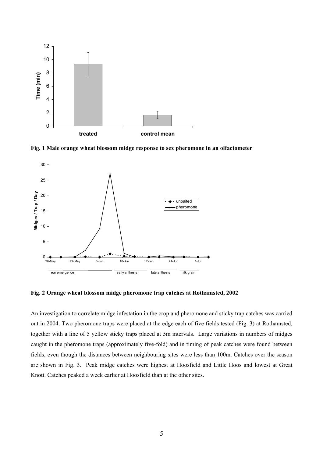

**Fig. 1 Male orange wheat blossom midge response to sex pheromone in an olfactometer**



**Fig. 2 Orange wheat blossom midge pheromone trap catches at Rothamsted, 2002**

An investigation to correlate midge infestation in the crop and pheromone and sticky trap catches was carried out in 2004. Two pheromone traps were placed at the edge each of five fields tested (Fig. 3) at Rothamsted, together with a line of 5 yellow sticky traps placed at 5m intervals. Large variations in numbers of midges caught in the pheromone traps (approximately five-fold) and in timing of peak catches were found between fields, even though the distances between neighbouring sites were less than 100m. Catches over the season are shown in Fig. 3. Peak midge catches were highest at Hoosfield and Little Hoos and lowest at Great Knott. Catches peaked a week earlier at Hoosfield than at the other sites.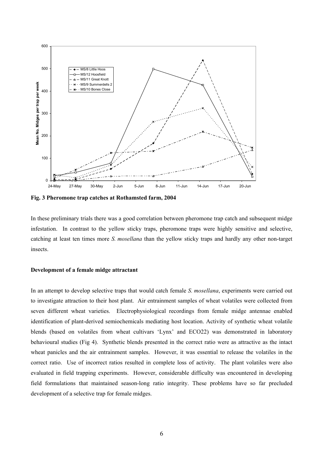

**Fig. 3 Pheromone trap catches at Rothamsted farm, 2004** 

In these preliminary trials there was a good correlation between pheromone trap catch and subsequent midge infestation. In contrast to the yellow sticky traps, pheromone traps were highly sensitive and selective, catching at least ten times more *S. mosellana* than the yellow sticky traps and hardly any other non-target insects.

# **Development of a female midge attractant**

In an attempt to develop selective traps that would catch female *S. mosellana*, experiments were carried out to investigate attraction to their host plant. Air entrainment samples of wheat volatiles were collected from seven different wheat varieties. Electrophysiological recordings from female midge antennae enabled identification of plant-derived semiochemicals mediating host location. Activity of synthetic wheat volatile blends (based on volatiles from wheat cultivars 'Lynx' and ECO22) was demonstrated in laboratory behavioural studies (Fig 4). Synthetic blends presented in the correct ratio were as attractive as the intact wheat panicles and the air entrainment samples. However, it was essential to release the volatiles in the correct ratio. Use of incorrect ratios resulted in complete loss of activity. The plant volatiles were also evaluated in field trapping experiments. However, considerable difficulty was encountered in developing field formulations that maintained season-long ratio integrity. These problems have so far precluded development of a selective trap for female midges.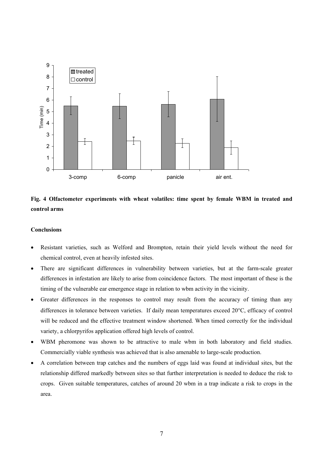

# **Fig. 4 Olfactometer experiments with wheat volatiles: time spent by female WBM in treated and control arms**

# **Conclusions**

- Resistant varieties, such as Welford and Brompton, retain their yield levels without the need for chemical control, even at heavily infested sites.
- There are significant differences in vulnerability between varieties, but at the farm-scale greater differences in infestation are likely to arise from coincidence factors. The most important of these is the timing of the vulnerable ear emergence stage in relation to wbm activity in the vicinity.
- Greater differences in the responses to control may result from the accuracy of timing than any differences in tolerance between varieties. If daily mean temperatures exceed 20°C, efficacy of control will be reduced and the effective treatment window shortened. When timed correctly for the individual variety, a chlorpyrifos application offered high levels of control.
- WBM pheromone was shown to be attractive to male wbm in both laboratory and field studies. Commercially viable synthesis was achieved that is also amenable to large-scale production.
- A correlation between trap catches and the numbers of eggs laid was found at individual sites, but the relationship differed markedly between sites so that further interpretation is needed to deduce the risk to crops. Given suitable temperatures, catches of around 20 wbm in a trap indicate a risk to crops in the area.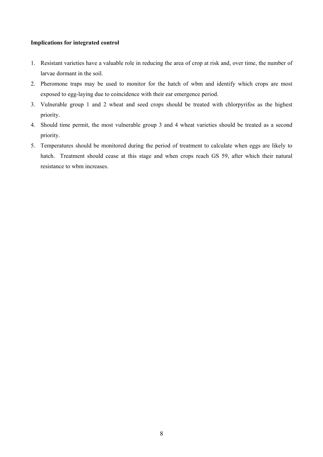## **Implications for integrated control**

- 1. Resistant varieties have a valuable role in reducing the area of crop at risk and, over time, the number of larvae dormant in the soil.
- 2. Pheromone traps may be used to monitor for the hatch of wbm and identify which crops are most exposed to egg-laying due to coincidence with their ear emergence period.
- 3. Vulnerable group 1 and 2 wheat and seed crops should be treated with chlorpyrifos as the highest priority.
- 4. Should time permit, the most vulnerable group 3 and 4 wheat varieties should be treated as a second priority.
- 5. Temperatures should be monitored during the period of treatment to calculate when eggs are likely to hatch. Treatment should cease at this stage and when crops reach GS 59, after which their natural resistance to wbm increases.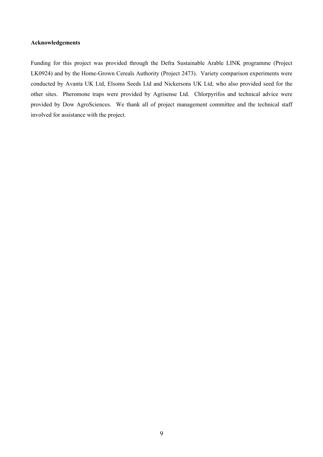## **Acknowledgements**

Funding for this project was provided through the Defra Sustainable Arable LINK programme (Project LK0924) and by the Home-Grown Cereals Authority (Project 2473). Variety comparison experiments were conducted by Avanta UK Ltd, Elsoms Seeds Ltd and Nickersons UK Ltd, who also provided seed for the other sites. Pheromone traps were provided by Agrisense Ltd. Chlorpyrifos and technical advice were provided by Dow AgroSciences. We thank all of project management committee and the technical staff involved for assistance with the project.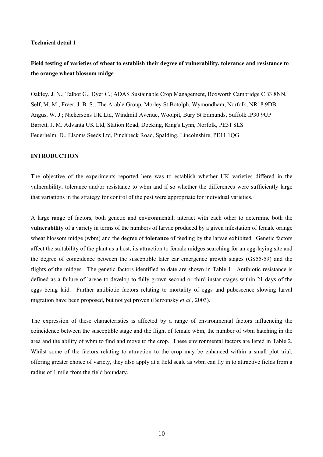#### **Technical detail 1**

# **Field testing of varieties of wheat to establish their degree of vulnerability, tolerance and resistance to the orange wheat blossom midge**

Oakley, J. N.; Talbot G.; Dyer C.; ADAS Sustainable Crop Management, Boxworth Cambridge CB3 8NN, Self, M. M., Freer, J. B. S.; The Arable Group, Morley St Botolph, Wymondham, Norfolk, NR18 9DB Angus, W. J.; Nickersons UK Ltd, Windmill Avenue, Woolpit, Bury St Edmunds, Suffolk IP30 9UP Barrett, J. M. Advanta UK Ltd, Station Road, Docking, King's Lynn, Norfolk, PE31 8LS Feuerhelm, D., Elsoms Seeds Ltd, Pinchbeck Road, Spalding, Lincolnshire, PE11 1QG

### **INTRODUCTION**

The objective of the experiments reported here was to establish whether UK varieties differed in the vulnerability, tolerance and/or resistance to wbm and if so whether the differences were sufficiently large that variations in the strategy for control of the pest were appropriate for individual varieties.

A large range of factors, both genetic and environmental, interact with each other to determine both the **vulnerability** of a variety in terms of the numbers of larvae produced by a given infestation of female orange wheat blossom midge (wbm) and the degree of **tolerance** of feeding by the larvae exhibited. Genetic factors affect the suitability of the plant as a host, its attraction to female midges searching for an egg-laying site and the degree of coincidence between the susceptible later ear emergence growth stages (GS55-59) and the flights of the midges. The genetic factors identified to date are shown in Table 1. Antibiotic resistance is defined as a failure of larvae to develop to fully grown second or third instar stages within 21 days of the eggs being laid. Further antibiotic factors relating to mortality of eggs and pubescence slowing larval migration have been proposed, but not yet proven (Berzonsky *et al.*, 2003).

The expression of these characteristics is affected by a range of environmental factors influencing the coincidence between the susceptible stage and the flight of female wbm, the number of wbm hatching in the area and the ability of wbm to find and move to the crop. These environmental factors are listed in Table 2. Whilst some of the factors relating to attraction to the crop may be enhanced within a small plot trial, offering greater choice of variety, they also apply at a field scale as wbm can fly in to attractive fields from a radius of 1 mile from the field boundary.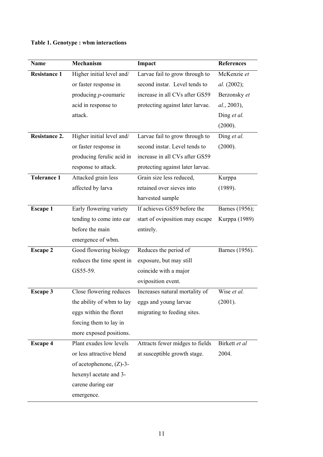# **Table 1. Genotype : wbm interactions**

| <b>Name</b>          | <b>Mechanism</b>           | Impact                           | <b>References</b> |
|----------------------|----------------------------|----------------------------------|-------------------|
| <b>Resistance 1</b>  | Higher initial level and/  | Larvae fail to grow through to   | McKenzie et       |
|                      | or faster response in      | second instar. Level tends to    | al. (2002);       |
|                      | producing $p$ -coumaric    | increase in all CVs after GS59   | Berzonsky et      |
|                      | acid in response to        | protecting against later larvae. | al., 2003),       |
|                      | attack.                    |                                  | Ding et al.       |
|                      |                            |                                  | (2000).           |
| <b>Resistance 2.</b> | Higher initial level and/  | Larvae fail to grow through to   | Ding et al.       |
|                      | or faster response in      | second instar. Level tends to    | (2000).           |
|                      | producing ferulic acid in  | increase in all CVs after GS59   |                   |
|                      | response to attack.        | protecting against later larvae. |                   |
| <b>Tolerance 1</b>   | Attacked grain less        | Grain size less reduced,         | Kurppa            |
|                      | affected by larva          | retained over sieves into        | (1989).           |
|                      |                            | harvested sample                 |                   |
| <b>Escape 1</b>      | Early flowering variety    | If achieves GS59 before the      | Barnes (1956);    |
|                      | tending to come into ear   | start of oviposition may escape  | Kurppa (1989)     |
|                      | before the main            | entirely.                        |                   |
|                      | emergence of wbm.          |                                  |                   |
| <b>Escape 2</b>      | Good flowering biology     | Reduces the period of            | Barnes (1956).    |
|                      | reduces the time spent in  | exposure, but may still          |                   |
|                      | GS55-59.                   | coincide with a major            |                   |
|                      |                            | oviposition event.               |                   |
| <b>Escape 3</b>      | Close flowering reduces    | Increases natural mortality of   | Wise et al.       |
|                      | the ability of wbm to lay  | eggs and young larvae            | (2001).           |
|                      | eggs within the floret     | migrating to feeding sites.      |                   |
|                      | forcing them to lay in     |                                  |                   |
|                      | more exposed positions.    |                                  |                   |
| <b>Escape 4</b>      | Plant exudes low levels    | Attracts fewer midges to fields  | Birkett et al     |
|                      | or less attractive blend   | at susceptible growth stage.     | 2004.             |
|                      | of acetophenone, $(Z)$ -3- |                                  |                   |
|                      | hexenyl acetate and 3-     |                                  |                   |
|                      | carene during ear          |                                  |                   |
|                      | emergence.                 |                                  |                   |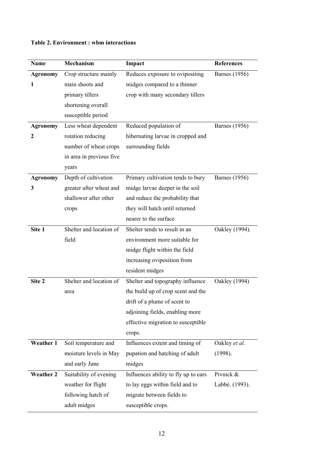| <b>Name</b>      | Mechanism                | Impact                               | <b>References</b>    |
|------------------|--------------------------|--------------------------------------|----------------------|
| <b>Agronomy</b>  | Crop structure mainly    | Reduces exposure to ovipositing      | <b>Barnes</b> (1956) |
| 1                | main shoots and          | midges compared to a thinner         |                      |
|                  | primary tillers          | crop with many secondary tillers     |                      |
|                  | shortening overall       |                                      |                      |
|                  | susceptible period       |                                      |                      |
| <b>Agronomy</b>  | Less wheat dependent     | Reduced population of                | <b>Barnes</b> (1956) |
| 2                | rotation reducing        | hibernating larvae in cropped and    |                      |
|                  | number of wheat crops    | surrounding fields                   |                      |
|                  | in area in previous five |                                      |                      |
|                  | years                    |                                      |                      |
| <b>Agronomy</b>  | Depth of cultivation     | Primary cultivation tends to bury    | <b>Barnes</b> (1956) |
| 3                | greater after wheat and  | midge larvae deeper in the soil      |                      |
|                  | shallower after other    | and reduce the probability that      |                      |
|                  | crops                    | they will hatch until returned       |                      |
|                  |                          | nearer to the surface                |                      |
| Site 1           | Shelter and location of  | Shelter tends to result in an        | Oakley (1994).       |
|                  | field                    | environment more suitable for        |                      |
|                  |                          | midge flight within the field        |                      |
|                  |                          | increasing oviposition from          |                      |
|                  |                          | resident midges                      |                      |
| Site 2           | Shelter and location of  | Shelter and topography influence     | Oakley (1994)        |
|                  | area                     | the build up of crop scent and the   |                      |
|                  |                          | drift of a plume of scent to         |                      |
|                  |                          | adjoining fields, enabling more      |                      |
|                  |                          | effective migration to susceptible   |                      |
|                  |                          | crops.                               |                      |
| <b>Weather 1</b> | Soil temperature and     | Influences extent and timing of      | Oakley et al.        |
|                  | moisture levels in May   | pupation and hatching of adult       | (1998).              |
|                  | and early June           | midges                               |                      |
| <b>Weather 2</b> | Suitability of evening   | Influences ability to fly up to ears | Pivnick &            |
|                  | weather for flight       | to lay eggs within field and to      | Labbé. (1993).       |
|                  | following hatch of       | migrate between fields to            |                      |
|                  | adult midges             | susceptible crops.                   |                      |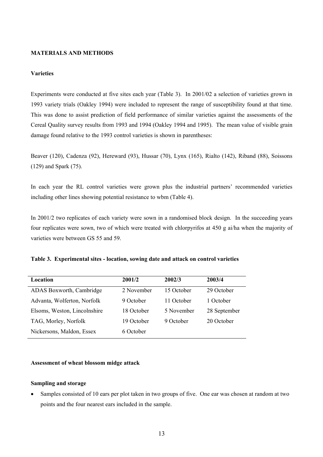# **MATERIALS AND METHODS**

## **Varieties**

Experiments were conducted at five sites each year (Table 3). In 2001/02 a selection of varieties grown in 1993 variety trials (Oakley 1994) were included to represent the range of susceptibility found at that time. This was done to assist prediction of field performance of similar varieties against the assessments of the Cereal Quality survey results from 1993 and 1994 (Oakley 1994 and 1995). The mean value of visible grain damage found relative to the 1993 control varieties is shown in parentheses:

Beaver (120), Cadenza (92), Hereward (93), Hussar (70), Lynx (165), Rialto (142), Riband (88), Soissons (129) and Spark (75).

In each year the RL control varieties were grown plus the industrial partners' recommended varieties including other lines showing potential resistance to wbm (Table 4).

In 2001/2 two replicates of each variety were sown in a randomised block design. In the succeeding years four replicates were sown, two of which were treated with chlorpyrifos at 450 g ai/ha when the majority of varieties were between GS 55 and 59.

|  |  | Table 3. Experimental sites - location, sowing date and attack on control varieties |
|--|--|-------------------------------------------------------------------------------------|
|  |  |                                                                                     |

| Location                     | 2001/2     | 2002/3     | 2003/4       |
|------------------------------|------------|------------|--------------|
| ADAS Boxworth, Cambridge     | 2 November | 15 October | 29 October   |
| Advanta, Wolferton, Norfolk  | 9 October  | 11 October | 1 October    |
| Elsoms, Weston, Lincolnshire | 18 October | 5 November | 28 September |
| TAG, Morley, Norfolk         | 19 October | 9 October  | 20 October   |
| Nickersons, Maldon, Essex    | 6 October  |            |              |

### **Assessment of wheat blossom midge attack**

# **Sampling and storage**

• Samples consisted of 10 ears per plot taken in two groups of five. One ear was chosen at random at two points and the four nearest ears included in the sample.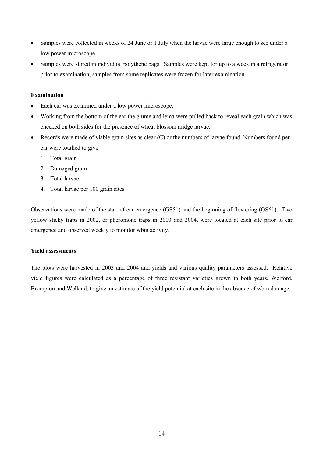- Samples were collected in weeks of 24 June or 1 July when the larvae were large enough to see under a low power microscope.
- Samples were stored in individual polythene bags. Samples were kept for up to a week in a refrigerator prior to examination, samples from some replicates were frozen for later examination.

# **Examination**

- Each ear was examined under a low power microscope.
- Working from the bottom of the ear the glume and lema were pulled back to reveal each grain which was checked on both sides for the presence of wheat blossom midge larvae.
- Records were made of viable grain sites as clear (C) or the numbers of larvae found. Numbers found per ear were totalled to give
	- 1. Total grain
	- 2. Damaged grain
	- 3. Total larvae
	- 4. Total larvae per 100 grain sites

Observations were made of the start of ear emergence (GS51) and the beginning of flowering (GS61). Two yellow sticky traps in 2002, or pheromone traps in 2003 and 2004, were located at each site prior to ear emergence and observed weekly to monitor wbm activity.

# **Yield assessments**

The plots were harvested in 2003 and 2004 and yields and various quality parameters assessed. Relative yield figures were calculated as a percentage of three resistant varieties grown in both years, Welford, Brompton and Welland, to give an estimate of the yield potential at each site in the absence of wbm damage.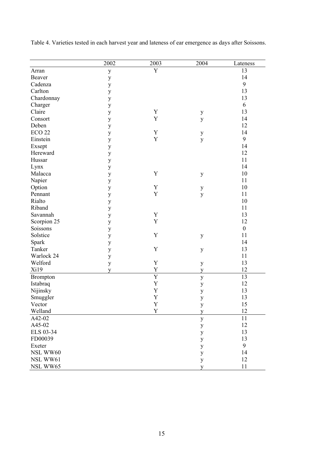|                   | 2002         | 2003           | 2004         | Lateness         |
|-------------------|--------------|----------------|--------------|------------------|
| Arran             | $\mathbf{y}$ | Y              |              | 13               |
| Beaver            | $\mathbf{y}$ |                |              | 14               |
| Cadenza           | $\mathbf{y}$ |                |              | 9                |
| Carlton           | $\mathbf{y}$ |                |              | 13               |
| Chardonnay        | $\mathbf{y}$ |                |              | 13               |
| Charger           | $\mathbf{y}$ |                |              | 6                |
| Claire            | $\mathbf{y}$ | Y              | $\mathbf{y}$ | 13               |
| Consort           | $\mathbf{y}$ | Y              | y            | 14               |
| Deben             | $\mathbf{y}$ |                |              | 12               |
| ECO <sub>22</sub> | $\mathbf{y}$ | Y              | $\mathbf{y}$ | 14               |
| Einstein          | $\mathbf{y}$ | $\mathbf Y$    | y            | 9                |
| Exsept            | $\mathbf{y}$ |                |              | 14               |
| Hereward          | $\mathbf{y}$ |                |              | 12               |
| Hussar            | $\mathbf{y}$ |                |              | 11               |
| Lynx              | $\mathbf{y}$ |                |              | 14               |
| Malacca           | $\mathbf{y}$ | Y              | $\mathbf{y}$ | 10               |
| Napier            | $\mathbf{y}$ |                |              | 11               |
| Option            | $\mathbf{y}$ | Y              | $\mathbf{y}$ | 10               |
| Pennant           | $\mathbf{y}$ | $\mathbf Y$    | y            | 11               |
| Rialto            | $\mathbf{y}$ |                |              | 10               |
| Riband            | $\mathbf{y}$ |                |              | 11               |
| Savannah          | $\mathbf{y}$ | $\mathbf Y$    |              | 13               |
| Scorpion 25       | $\mathbf{y}$ | $\mathbf Y$    |              | 12               |
| Soissons          | $\mathbf{y}$ |                |              | $\boldsymbol{0}$ |
| Solstice          | $\mathbf{y}$ | Y              | $\mathbf{y}$ | 11               |
| Spark             | $\mathbf{y}$ |                |              | 14               |
| Tanker            | $\mathbf{y}$ | Y              | $\mathbf{y}$ | 13               |
| Warlock 24        | $\mathbf{y}$ |                |              | 11               |
| Welford           | $\mathbf{y}$ | Y              | $\mathbf{y}$ | 13               |
| Xi19              | V            | $\mathbf Y$    | y            | 12               |
| <b>Brompton</b>   |              | $\overline{Y}$ | y            | 13               |
| Istabraq          |              | Y              | y            | 12               |
| Nijinsky          |              | $\mathbf Y$    | y            | 13               |
| Smuggler          |              | $\mathbf Y$    | y            | 13               |
| Vector            |              | Y              | $\mathbf{y}$ | 15               |
| Welland           |              | $\mathbf Y$    | y            | 12               |
| A42-02            |              |                | y            | 11               |
| A45-02            |              |                | y            | 12               |
| ELS 03-34         |              |                | $\mathbf{y}$ | 13               |
| FD00039           |              |                | $\mathbf{y}$ | 13               |
| Exeter            |              |                | y            | 9                |
| NSL WW60          |              |                | y            | 14               |
| NSL WW61          |              |                | y            | 12               |
| NSL WW65          |              |                | y            | 11               |

Table 4. Varieties tested in each harvest year and lateness of ear emergence as days after Soissons.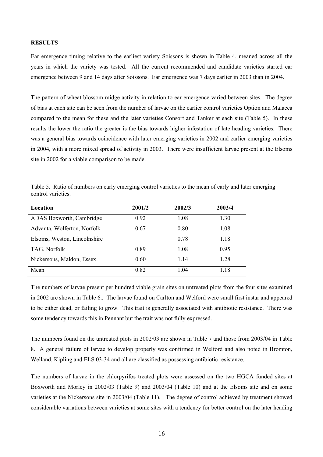### **RESULTS**

Ear emergence timing relative to the earliest variety Soissons is shown in Table 4, meaned across all the years in which the variety was tested. All the current recommended and candidate varieties started ear emergence between 9 and 14 days after Soissons. Ear emergence was 7 days earlier in 2003 than in 2004.

The pattern of wheat blossom midge activity in relation to ear emergence varied between sites. The degree of bias at each site can be seen from the number of larvae on the earlier control varieties Option and Malacca compared to the mean for these and the later varieties Consort and Tanker at each site (Table 5). In these results the lower the ratio the greater is the bias towards higher infestation of late heading varieties. There was a general bias towards coincidence with later emerging varieties in 2002 and earlier emerging varieties in 2004, with a more mixed spread of activity in 2003. There were insufficient larvae present at the Elsoms site in 2002 for a viable comparison to be made.

|                    | Table 5. Ratio of numbers on early emerging control varieties to the mean of early and later emerging |  |  |  |
|--------------------|-------------------------------------------------------------------------------------------------------|--|--|--|
| control varieties. |                                                                                                       |  |  |  |

| Location                     | 2001/2 | 2002/3 | 2003/4 |
|------------------------------|--------|--------|--------|
| ADAS Boxworth, Cambridge     | 0.92   | 1.08   | 1.30   |
| Advanta, Wolferton, Norfolk  | 0.67   | 0.80   | 1.08   |
| Elsoms, Weston, Lincolnshire |        | 0.78   | 1.18   |
| TAG, Norfolk                 | 0.89   | 1.08   | 0.95   |
| Nickersons, Maldon, Essex    | 0.60   | 1 14   | 1.28   |
| Mean                         | 0.82   | 104    | 1.18   |

The numbers of larvae present per hundred viable grain sites on untreated plots from the four sites examined in 2002 are shown in Table 6.. The larvae found on Carlton and Welford were small first instar and appeared to be either dead, or failing to grow. This trait is generally associated with antibiotic resistance. There was some tendency towards this in Pennant but the trait was not fully expressed.

The numbers found on the untreated plots in 2002/03 are shown in Table 7 and those from 2003/04 in Table 8. A general failure of larvae to develop properly was confirmed in Welford and also noted in Bromton, Welland, Kipling and ELS 03-34 and all are classified as possessing antibiotic resistance.

The numbers of larvae in the chlorpyrifos treated plots were assessed on the two HGCA funded sites at Boxworth and Morley in 2002/03 (Table 9) and 2003/04 (Table 10) and at the Elsoms site and on some varieties at the Nickersons site in 2003/04 (Table 11). The degree of control achieved by treatment showed considerable variations between varieties at some sites with a tendency for better control on the later heading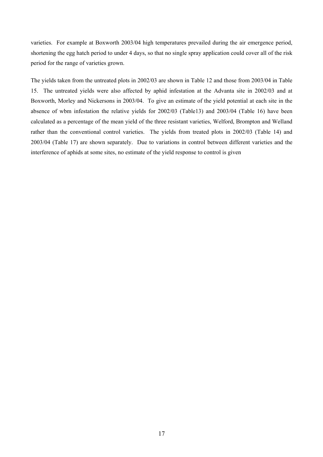varieties. For example at Boxworth 2003/04 high temperatures prevailed during the air emergence period, shortening the egg hatch period to under 4 days, so that no single spray application could cover all of the risk period for the range of varieties grown.

The yields taken from the untreated plots in 2002/03 are shown in Table 12 and those from 2003/04 in Table 15. The untreated yields were also affected by aphid infestation at the Advanta site in 2002/03 and at Boxworth, Morley and Nickersons in 2003/04. To give an estimate of the yield potential at each site in the absence of wbm infestation the relative yields for 2002/03 (Table13) and 2003/04 (Table 16) have been calculated as a percentage of the mean yield of the three resistant varieties, Welford, Brompton and Welland rather than the conventional control varieties. The yields from treated plots in 2002/03 (Table 14) and 2003/04 (Table 17) are shown separately. Due to variations in control between different varieties and the interference of aphids at some sites, no estimate of the yield response to control is given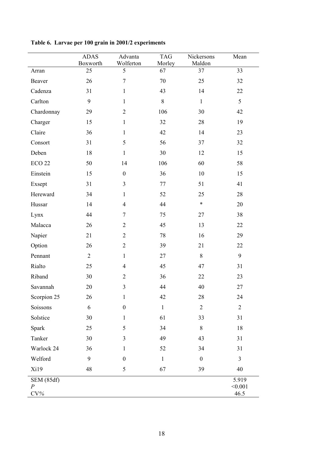|                                         | <b>ADAS</b><br>Boxworth | Advanta<br>Wolferton | <b>TAG</b><br>Morley | Nickersons<br>Maldon | Mean                     |
|-----------------------------------------|-------------------------|----------------------|----------------------|----------------------|--------------------------|
| Arran                                   | 25                      | 5                    | 67                   | 37                   | 33                       |
| Beaver                                  | 26                      | $\tau$               | 70                   | 25                   | 32                       |
| Cadenza                                 | 31                      | $\mathbf{1}$         | 43                   | 14                   | 22                       |
| Carlton                                 | 9                       | $\mathbf{1}$         | 8                    | $\mathbf{1}$         | 5                        |
| Chardonnay                              | 29                      | $\overline{2}$       | 106                  | 30                   | 42                       |
| Charger                                 | 15                      | $\mathbf{1}$         | 32                   | 28                   | 19                       |
| Claire                                  | 36                      | $\mathbf{1}$         | 42                   | 14                   | 23                       |
| Consort                                 | 31                      | 5                    | 56                   | 37                   | 32                       |
| Deben                                   | 18                      | $\mathbf{1}$         | 30                   | 12                   | 15                       |
| <b>ECO 22</b>                           | 50                      | 14                   | 106                  | 60                   | 58                       |
| Einstein                                | 15                      | $\boldsymbol{0}$     | 36                   | 10                   | 15                       |
| Exsept                                  | 31                      | $\mathfrak{Z}$       | 77                   | 51                   | 41                       |
| Hereward                                | 34                      | $\mathbf{1}$         | 52                   | 25                   | $28\,$                   |
| Hussar                                  | 14                      | $\overline{4}$       | 44                   | $\ast$               | 20                       |
| Lynx                                    | 44                      | 7                    | 75                   | 27                   | 38                       |
| Malacca                                 | 26                      | $\overline{2}$       | 45                   | 13                   | 22                       |
| Napier                                  | 21                      | $\overline{2}$       | 78                   | 16                   | 29                       |
| Option                                  | 26                      | $\overline{2}$       | 39                   | 21                   | 22                       |
| Pennant                                 | $\overline{2}$          | $\mathbf{1}$         | 27                   | 8                    | $\mathbf{9}$             |
| Rialto                                  | 25                      | $\overline{4}$       | 45                   | 47                   | 31                       |
| Riband                                  | 30                      | $\overline{2}$       | 36                   | 22                   | 23                       |
| Savannah                                | 20                      | 3                    | 44                   | 40                   | 27                       |
| Scorpion 25                             | 26                      | 1                    | 42                   | 28                   | 24                       |
| Soissons                                | 6                       | $\boldsymbol{0}$     | $\,1$                | $\overline{2}$       | $\overline{2}$           |
| Solstice                                | 30                      | $\mathbf{1}$         | 61                   | 33                   | 31                       |
| Spark                                   | 25                      | 5                    | 34                   | $8\,$                | 18                       |
| Tanker                                  | 30                      | 3                    | 49                   | 43                   | 31                       |
| Warlock 24                              | 36                      | $\mathbf{1}$         | 52                   | 34                   | 31                       |
| Welford                                 | 9                       | $\boldsymbol{0}$     | $\mathbf{1}$         | $\boldsymbol{0}$     | 3                        |
| Xi19                                    | 48                      | 5                    | 67                   | 39                   | 40                       |
| SEM(85df)<br>$\boldsymbol{P}$<br>$CV\%$ |                         |                      |                      |                      | 5.919<br>< 0.001<br>46.5 |

**Table 6. Larvae per 100 grain in 2001/2 experiments**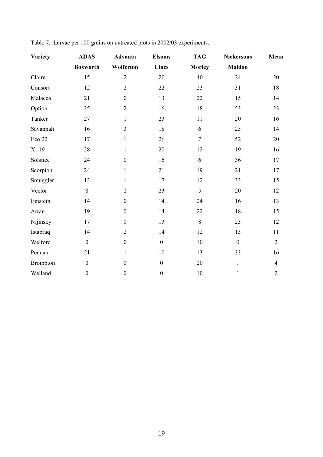| <b>Variety</b>  | <b>ADAS</b>      | Advanta          | <b>Elsoms</b>    | <b>TAG</b>     | <b>Nickersons</b> | Mean           |
|-----------------|------------------|------------------|------------------|----------------|-------------------|----------------|
|                 | <b>Boxworth</b>  | Wolferton        | Lincs            | <b>Morley</b>  | <b>Maldon</b>     |                |
| Claire          | 15               | $\overline{2}$   | 20               | 40             | 24                | 20             |
| Consort         | 12               | $\overline{2}$   | 22               | 23             | 31                | 18             |
| Malacca         | 21               | $\mathbf{0}$     | 13               | 22             | 15                | 14             |
| Option          | 25               | $\overline{2}$   | 16               | 18             | 53                | 23             |
| Tanker          | 27               | $\mathbf{1}$     | 23               | 11             | 20                | 16             |
| Savannah        | 16               | $\overline{3}$   | 18               | 6              | 25                | 14             |
| Eco 22          | 17               | $\mathbf{1}$     | 26               | $\overline{7}$ | 52                | 20             |
| $Xi-19$         | 28               | $\mathbf{1}$     | 20               | 12             | 19                | 16             |
| Solstice        | 24               | $\mathbf{0}$     | 16               | 6              | 36                | 17             |
| Scorpion        | 24               | $\mathbf{1}$     | 21               | 19             | 21                | 17             |
| Smuggler        | 13               | $\mathbf{1}$     | 17               | 12             | 33                | 15             |
| Vector          | $8\,$            | $\overline{2}$   | 23               | 5              | 20                | 12             |
| Einstein        | 14               | $\boldsymbol{0}$ | 14               | 24             | 16                | 13             |
| Arran           | 19               | $\mathbf{0}$     | 14               | 22             | 18                | 15             |
| Nijinsky        | 17               | $\boldsymbol{0}$ | 13               | $8\,$          | 23                | 12             |
| Istabraq        | 14               | $\overline{2}$   | 14               | 12             | 13                | 11             |
| Welford         | $\boldsymbol{0}$ | $\boldsymbol{0}$ | $\overline{0}$   | 10             | $\mathbf{0}$      | $\overline{2}$ |
| Pennant         | 21               | $\mathbf{1}$     | 10               | 13             | 33                | 16             |
| <b>Brompton</b> | $\boldsymbol{0}$ | $\boldsymbol{0}$ | $\boldsymbol{0}$ | 20             | $\mathbf{1}$      | $\overline{4}$ |
| Welland         | $\boldsymbol{0}$ | $\mathbf{0}$     | $\mathbf{0}$     | $10\,$         | $\mathbf{1}$      | $\overline{2}$ |

Table 7. Larvae per 100 grains on untreated plots in 2002/03 experiments.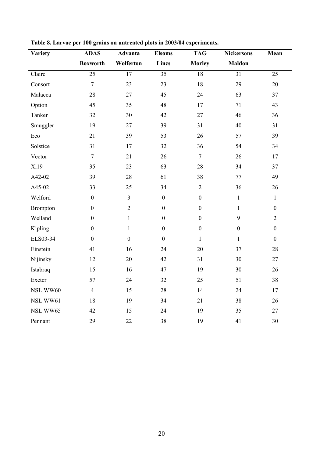| Variety         | <b>ADAS</b>      | <b>Advanta</b>  | <b>Elsoms</b>    | <b>TAG</b>       | <b>Nickersons</b> | Mean             |
|-----------------|------------------|-----------------|------------------|------------------|-------------------|------------------|
|                 | <b>Boxworth</b>  | Wolferton       | Lincs            | <b>Morley</b>    | <b>Maldon</b>     |                  |
| Claire          | $\overline{25}$  | $\overline{17}$ | $\overline{35}$  | 18               | 31                | 25               |
| Consort         | $\overline{7}$   | 23              | 23               | 18               | 29                | 20               |
| Malacca         | 28               | 27              | 45               | 24               | 63                | 37               |
| Option          | 45               | 35              | 48               | 17               | 71                | 43               |
| Tanker          | 32               | 30              | 42               | 27               | 46                | 36               |
| Smuggler        | 19               | 27              | 39               | 31               | 40                | 31               |
| Eco             | 21               | 39              | 53               | 26               | 57                | 39               |
| Solstice        | 31               | 17              | 32               | 36               | 54                | 34               |
| Vector          | $\overline{7}$   | 21              | 26               | $\tau$           | 26                | 17               |
| Xi19            | 35               | 23              | 63               | 28               | 34                | 37               |
| A42-02          | 39               | 28              | 61               | 38               | 77                | 49               |
| A45-02          | 33               | 25              | 34               | $\overline{2}$   | 36                | 26               |
| Welford         | $\boldsymbol{0}$ | $\overline{3}$  | $\boldsymbol{0}$ | $\boldsymbol{0}$ | $\mathbf{1}$      | $\mathbf{1}$     |
| <b>Brompton</b> | $\boldsymbol{0}$ | $\overline{2}$  | $\boldsymbol{0}$ | $\mathbf{0}$     | $\mathbf{1}$      | $\boldsymbol{0}$ |
| Welland         | $\boldsymbol{0}$ | $\mathbf{1}$    | $\boldsymbol{0}$ | $\boldsymbol{0}$ | 9                 | $\overline{2}$   |
| Kipling         | $\boldsymbol{0}$ | $\mathbf{1}$    | $\boldsymbol{0}$ | $\boldsymbol{0}$ | $\boldsymbol{0}$  | $\boldsymbol{0}$ |
| ELS03-34        | $\boldsymbol{0}$ | $\overline{0}$  | $\boldsymbol{0}$ | $\mathbf{1}$     | $\mathbf{1}$      | $\boldsymbol{0}$ |
| Einstein        | 41               | 16              | 24               | 20               | 37                | 28               |
| Nijinsky        | 12               | 20              | 42               | 31               | 30                | 27               |
| Istabraq        | 15               | 16              | 47               | 19               | 30                | 26               |
| Exeter          | 57               | 24              | 32               | 25               | 51                | 38               |
| NSL WW60        | $\overline{4}$   | 15              | 28               | 14               | 24                | 17               |
| NSL WW61        | 18               | 19              | 34               | 21               | 38                | 26               |
| NSL WW65        | 42               | 15              | 24               | 19               | 35                | 27               |
| Pennant         | 29               | 22              | 38               | 19               | 41                | 30               |

**Table 8. Larvae per 100 grains on untreated plots in 2003/04 experiments.**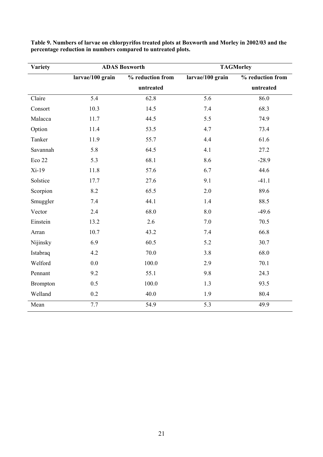| <b>Variety</b> | <b>ADAS Boxworth</b> |                  | <b>TAGMorley</b> |                  |  |
|----------------|----------------------|------------------|------------------|------------------|--|
|                | larvae/100 grain     | % reduction from | larvae/100 grain | % reduction from |  |
|                |                      | untreated        |                  | untreated        |  |
| Claire         | $\overline{5.4}$     | 62.8             | $\overline{5.6}$ | 86.0             |  |
| Consort        | 10.3                 | 14.5             | 7.4              | 68.3             |  |
| Malacca        | 11.7                 | 44.5             | 5.5              | 74.9             |  |
| Option         | 11.4                 | 53.5             | 4.7              | 73.4             |  |
| Tanker         | 11.9                 | 55.7             | 4.4              | 61.6             |  |
| Savannah       | 5.8                  | 64.5             | 4.1              | 27.2             |  |
| Eco 22         | 5.3                  | 68.1             | 8.6              | $-28.9$          |  |
| $Xi-19$        | 11.8                 | 57.6             | 6.7              | 44.6             |  |
| Solstice       | 17.7                 | 27.6             | 9.1              | $-41.1$          |  |
| Scorpion       | 8.2                  | 65.5             | 2.0              | 89.6             |  |
| Smuggler       | 7.4                  | 44.1             | 1.4              | 88.5             |  |
| Vector         | 2.4                  | 68.0             | 8.0              | $-49.6$          |  |
| Einstein       | 13.2                 | 2.6              | 7.0              | 70.5             |  |
| Arran          | 10.7                 | 43.2             | 7.4              | 66.8             |  |
| Nijinsky       | 6.9                  | 60.5             | 5.2              | 30.7             |  |
| Istabraq       | 4.2                  | 70.0             | 3.8              | 68.0             |  |
| Welford        | 0.0                  | 100.0            | 2.9              | 70.1             |  |
| Pennant        | 9.2                  | 55.1             | 9.8              | 24.3             |  |
| Brompton       | 0.5                  | 100.0            | 1.3              | 93.5             |  |
| Welland        | 0.2                  | 40.0             | 1.9              | 80.4             |  |
| Mean           | 7.7                  | 54.9             | 5.3              | 49.9             |  |

**Table 9. Numbers of larvae on chlorpyrifos treated plots at Boxworth and Morley in 2002/03 and the percentage reduction in numbers compared to untreated plots.**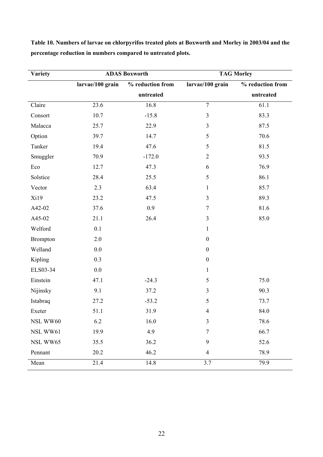| <b>Variety</b>  | <b>ADAS Boxworth</b> |                  | <b>TAG Morley</b> |                  |  |
|-----------------|----------------------|------------------|-------------------|------------------|--|
|                 | larvae/100 grain     | % reduction from | larvae/100 grain  | % reduction from |  |
|                 |                      | untreated        |                   | untreated        |  |
| Claire          | 23.6                 | 16.8             | $\boldsymbol{7}$  | 61.1             |  |
| Consort         | 10.7                 | $-15.8$          | $\overline{3}$    | 83.3             |  |
| Malacca         | 25.7                 | 22.9             | $\mathfrak{Z}$    | 87.5             |  |
| Option          | 39.7                 | 14.7             | 5                 | 70.6             |  |
| Tanker          | 19.4                 | 47.6             | 5                 | 81.5             |  |
| Smuggler        | 70.9                 | $-172.0$         | $\overline{2}$    | 93.5             |  |
| Eco             | 12.7                 | 47.3             | 6                 | 76.9             |  |
| Solstice        | 28.4                 | 25.5             | 5                 | 86.1             |  |
| Vector          | 2.3                  | 63.4             | $\mathbf{1}$      | 85.7             |  |
| Xi19            | 23.2                 | 47.5             | 3                 | 89.3             |  |
| A42-02          | 37.6                 | 0.9              | $\boldsymbol{7}$  | 81.6             |  |
| A45-02          | 21.1                 | 26.4             | 3                 | 85.0             |  |
| Welford         | 0.1                  |                  | $\mathbf{1}$      |                  |  |
| <b>Brompton</b> | 2.0                  |                  | $\boldsymbol{0}$  |                  |  |
| Welland         | 0.0                  |                  | $\boldsymbol{0}$  |                  |  |
| Kipling         | 0.3                  |                  | $\boldsymbol{0}$  |                  |  |
| ELS03-34        | 0.0                  |                  | $\mathbf{1}$      |                  |  |
| Einstein        | 47.1                 | $-24.3$          | 5                 | 75.0             |  |
| Nijinsky        | 9.1                  | 37.2             | $\mathfrak{Z}$    | 90.3             |  |
| Istabraq        | 27.2                 | $-53.2$          | 5                 | 73.7             |  |
| Exeter          | 51.1                 | 31.9             | $\overline{4}$    | 84.0             |  |
| NSL WW60        | 6.2                  | 16.0             | 3                 | 78.6             |  |
| NSL WW61        | 19.9                 | 4.9              | 7                 | 66.7             |  |
| NSL WW65        | 35.5                 | 36.2             | $\boldsymbol{9}$  | 52.6             |  |
| Pennant         | 20.2                 | 46.2             | $\overline{4}$    | 78.9             |  |
| Mean            | $21.\overline{4}$    | 14.8             | 3.7               | 79.9             |  |

**Table 10. Numbers of larvae on chlorpyrifos treated plots at Boxworth and Morley in 2003/04 and the percentage reduction in numbers compared to untreated plots.**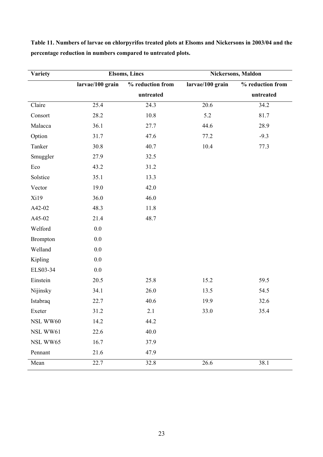| <b>Variety</b>  | <b>Elsoms, Lincs</b> |                  | Nickersons, Maldon |                  |  |
|-----------------|----------------------|------------------|--------------------|------------------|--|
|                 | larvae/100 grain     | % reduction from | larvae/100 grain   | % reduction from |  |
|                 |                      | untreated        |                    | untreated        |  |
| Claire          | 25.4                 | 24.3             | 20.6               | 34.2             |  |
| Consort         | 28.2                 | 10.8             | 5.2                | 81.7             |  |
| Malacca         | 36.1                 | 27.7             | 44.6               | 28.9             |  |
| Option          | 31.7                 | 47.6             | 77.2               | $-9.3$           |  |
| Tanker          | 30.8                 | 40.7             | $10.4\,$           | 77.3             |  |
| Smuggler        | 27.9                 | 32.5             |                    |                  |  |
| Eco             | 43.2                 | 31.2             |                    |                  |  |
| Solstice        | 35.1                 | 13.3             |                    |                  |  |
| Vector          | 19.0                 | 42.0             |                    |                  |  |
| Xi19            | 36.0                 | 46.0             |                    |                  |  |
| A42-02          | 48.3                 | 11.8             |                    |                  |  |
| A45-02          | 21.4                 | 48.7             |                    |                  |  |
| Welford         | 0.0                  |                  |                    |                  |  |
| <b>Brompton</b> | 0.0                  |                  |                    |                  |  |
| Welland         | $0.0\,$              |                  |                    |                  |  |
| Kipling         | $0.0\,$              |                  |                    |                  |  |
| ELS03-34        | 0.0                  |                  |                    |                  |  |
| Einstein        | 20.5                 | 25.8             | 15.2               | 59.5             |  |
| Nijinsky        | 34.1                 | 26.0             | 13.5               | 54.5             |  |
| Istabraq        | 22.7                 | 40.6             | 19.9               | 32.6             |  |
| Exeter          | 31.2                 | 2.1              | 33.0               | 35.4             |  |
| NSL WW60        | 14.2                 | 44.2             |                    |                  |  |
| NSL WW61        | 22.6                 | 40.0             |                    |                  |  |
| NSL WW65        | 16.7                 | 37.9             |                    |                  |  |
| Pennant         | 21.6                 | 47.9             |                    |                  |  |
| Mean            | 22.7                 | 32.8             | 26.6               | 38.1             |  |

**Table 11. Numbers of larvae on chlorpyrifos treated plots at Elsoms and Nickersons in 2003/04 and the percentage reduction in numbers compared to untreated plots.**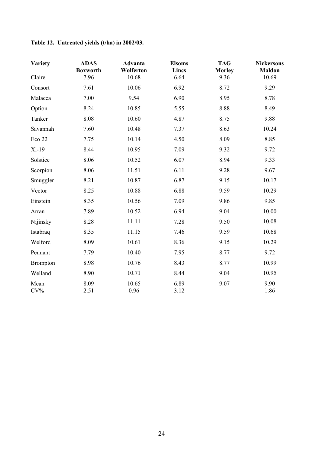| <b>Variety</b>  | <b>ADAS</b><br><b>Boxworth</b> | Advanta<br>Wolferton | <b>Elsoms</b><br>Lincs | <b>TAG</b><br><b>Morley</b> | <b>Nickersons</b><br><b>Maldon</b> |
|-----------------|--------------------------------|----------------------|------------------------|-----------------------------|------------------------------------|
| Claire          | 7.96                           | 10.68                | 6.64                   | 9.36                        | 10.69                              |
| Consort         | 7.61                           | 10.06                | 6.92                   | 8.72                        | 9.29                               |
| Malacca         | 7.00                           | 9.54                 | 6.90                   | 8.95                        | 8.78                               |
| Option          | 8.24                           | 10.85                | 5.55                   | 8.88                        | 8.49                               |
| Tanker          | 8.08                           | 10.60                | 4.87                   | 8.75                        | 9.88                               |
| Savannah        | 7.60                           | 10.48                | 7.37                   | 8.63                        | 10.24                              |
| Eco 22          | 7.75                           | 10.14                | 4.50                   | 8.09                        | 8.85                               |
| $Xi-19$         | 8.44                           | 10.95                | 7.09                   | 9.32                        | 9.72                               |
| Solstice        | 8.06                           | 10.52                | 6.07                   | 8.94                        | 9.33                               |
| Scorpion        | 8.06                           | 11.51                | 6.11                   | 9.28                        | 9.67                               |
| Smuggler        | 8.21                           | 10.87                | 6.87                   | 9.15                        | 10.17                              |
| Vector          | 8.25                           | 10.88                | 6.88                   | 9.59                        | 10.29                              |
| Einstein        | 8.35                           | 10.56                | 7.09                   | 9.86                        | 9.85                               |
| Arran           | 7.89                           | 10.52                | 6.94                   | 9.04                        | 10.00                              |
| Nijinsky        | 8.28                           | 11.11                | 7.28                   | 9.50                        | 10.08                              |
| Istabraq        | 8.35                           | 11.15                | 7.46                   | 9.59                        | 10.68                              |
| Welford         | 8.09                           | 10.61                | 8.36                   | 9.15                        | 10.29                              |
| Pennant         | 7.79                           | 10.40                | 7.95                   | 8.77                        | 9.72                               |
| <b>Brompton</b> | 8.98                           | 10.76                | 8.43                   | 8.77                        | 10.99                              |
| Welland         | 8.90                           | 10.71                | 8.44                   | 9.04                        | 10.95                              |
| Mean<br>$CV\%$  | 8.09<br>2.51                   | 10.65<br>0.96        | 6.89<br>3.12           | 9.07                        | 9.90<br>1.86                       |

**Table 12. Untreated yields (t/ha) in 2002/03.**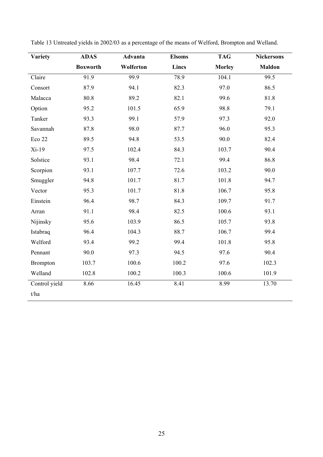| Variety         | <b>ADAS</b>     | Advanta   | <b>Elsoms</b> | <b>TAG</b>    | <b>Nickersons</b> |
|-----------------|-----------------|-----------|---------------|---------------|-------------------|
|                 | <b>Boxworth</b> | Wolferton | Lincs         | <b>Morley</b> | <b>Maldon</b>     |
| Claire          | 91.9            | 99.9      | 78.9          | 104.1         | 99.5              |
| Consort         | 87.9            | 94.1      | 82.3          | 97.0          | 86.5              |
| Malacca         | 80.8            | 89.2      | 82.1          | 99.6          | 81.8              |
| Option          | 95.2            | 101.5     | 65.9          | 98.8          | 79.1              |
| Tanker          | 93.3            | 99.1      | 57.9          | 97.3          | 92.0              |
| Savannah        | 87.8            | 98.0      | 87.7          | 96.0          | 95.3              |
| Eco 22          | 89.5            | 94.8      | 53.5          | 90.0          | 82.4              |
| $Xi-19$         | 97.5            | 102.4     | 84.3          | 103.7         | 90.4              |
| Solstice        | 93.1            | 98.4      | 72.1          | 99.4          | 86.8              |
| Scorpion        | 93.1            | 107.7     | 72.6          | 103.2         | 90.0              |
| Smuggler        | 94.8            | 101.7     | 81.7          | 101.8         | 94.7              |
| Vector          | 95.3            | 101.7     | 81.8          | 106.7         | 95.8              |
| Einstein        | 96.4            | 98.7      | 84.3          | 109.7         | 91.7              |
| Arran           | 91.1            | 98.4      | 82.5          | 100.6         | 93.1              |
| Nijinsky        | 95.6            | 103.9     | 86.5          | 105.7         | 93.8              |
| Istabraq        | 96.4            | 104.3     | 88.7          | 106.7         | 99.4              |
| Welford         | 93.4            | 99.2      | 99.4          | 101.8         | 95.8              |
| Pennant         | 90.0            | 97.3      | 94.5          | 97.6          | 90.4              |
| <b>Brompton</b> | 103.7           | 100.6     | 100.2         | 97.6          | 102.3             |
| Welland         | 102.8           | 100.2     | 100.3         | 100.6         | 101.9             |
| Control yield   | 8.66            | 16.45     | 8.41          | 8.99          | 13.70             |
| t/ha            |                 |           |               |               |                   |

Table 13 Untreated yields in 2002/03 as a percentage of the means of Welford, Brompton and Welland.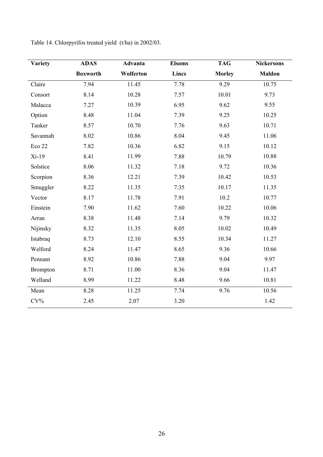| Variety         | <b>ADAS</b>     | Advanta   | <b>Elsoms</b> | <b>TAG</b>    | <b>Nickersons</b> |
|-----------------|-----------------|-----------|---------------|---------------|-------------------|
|                 | <b>Boxworth</b> | Wolferton | Lincs         | <b>Morley</b> | <b>Maldon</b>     |
| Claire          | 7.94            | 11.45     | 7.78          | 9.29          | 10.75             |
| Consort         | 8.14            | 10.28     | 7.57          | 10.01         | 9.73              |
| Malacca         | 7.27            | 10.39     | 6.95          | 9.62          | 9.55              |
| Option          | 8.48            | 11.04     | 7.39          | 9.25          | 10.25             |
| Tanker          | 8.57            | 10.70     | 7.76          | 9.63          | 10.71             |
| Savannah        | 8.02            | 10.86     | 8.04          | 9.45          | 11.06             |
| Eco 22          | 7.82            | 10.36     | 6.82          | 9.15          | 10.12             |
| $Xi-19$         | 8.41            | 11.99     | 7.88          | 10.79         | 10.88             |
| Solstice        | 8.06            | 11.32     | 7.18          | 9.72          | 10.36             |
| Scorpion        | 8.36            | 12.21     | 7.39          | 10.42         | 10.53             |
| Smuggler        | 8.22            | 11.35     | 7.35          | 10.17         | 11.35             |
| Vector          | 8.17            | 11.78     | 7.91          | 10.2          | 10.77             |
| Einstein        | 7.90            | 11.62     | 7.60          | 10.22         | 10.06             |
| Arran           | 8.38            | 11.48     | 7.14          | 9.79          | 10.32             |
| Nijinsky        | 8.32            | 11.35     | 8.05          | 10.02         | 10.49             |
| Istabraq        | 8.73            | 12.10     | 8.55          | 10.34         | 11.27             |
| Welford         | 8.24            | 11.47     | 8.65          | 9.36          | 10.66             |
| Pennant         | 8.92            | 10.86     | 7.88          | 9.04          | 9.97              |
| <b>Brompton</b> | 8.71            | 11.00     | 8.36          | 9.04          | 11.47             |
| Welland         | 8.99            | 11.22     | 8.48          | 9.66          | 10.81             |
| Mean            | 8.28            | 11.25     | 7.74          | 9.76          | 10.56             |
| $CV\%$          | 2.45            | 2.07      | 3.20          |               | 1.42              |

Table 14. Chlorpyrifos treated yield (t/ha) in 2002/03.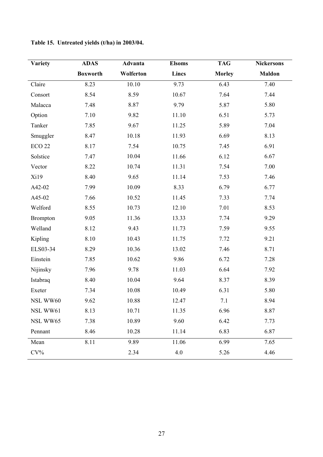| <b>Variety</b>    | <b>ADAS</b>     | Advanta   | <b>Elsoms</b> | <b>TAG</b>    | <b>Nickersons</b> |
|-------------------|-----------------|-----------|---------------|---------------|-------------------|
|                   | <b>Boxworth</b> | Wolferton | Lincs         | <b>Morley</b> | <b>Maldon</b>     |
| Claire            | 8.23            | 10.10     | 9.73          | 6.43          | 7.40              |
| Consort           | 8.54            | 8.59      | 10.67         | 7.64          | 7.44              |
| Malacca           | 7.48            | 8.87      | 9.79          | 5.87          | 5.80              |
| Option            | 7.10            | 9.82      | 11.10         | 6.51          | 5.73              |
| Tanker            | 7.85            | 9.67      | 11.25         | 5.89          | 7.04              |
| Smuggler          | 8.47            | 10.18     | 11.93         | 6.69          | 8.13              |
| ECO <sub>22</sub> | 8.17            | 7.54      | 10.75         | 7.45          | 6.91              |
| Solstice          | 7.47            | 10.04     | 11.66         | 6.12          | 6.67              |
| Vector            | 8.22            | 10.74     | 11.31         | 7.54          | 7.00              |
| Xi19              | 8.40            | 9.65      | 11.14         | 7.53          | 7.46              |
| A42-02            | 7.99            | 10.09     | 8.33          | 6.79          | 6.77              |
| A45-02            | 7.66            | 10.52     | 11.45         | 7.33          | 7.74              |
| Welford           | 8.55            | 10.73     | 12.10         | 7.01          | 8.53              |
| <b>Brompton</b>   | 9.05            | 11.36     | 13.33         | 7.74          | 9.29              |
| Welland           | 8.12            | 9.43      | 11.73         | 7.59          | 9.55              |
| Kipling           | 8.10            | 10.43     | 11.75         | 7.72          | 9.21              |
| ELS03-34          | 8.29            | 10.36     | 13.02         | 7.46          | 8.71              |
| Einstein          | 7.85            | 10.62     | 9.86          | 6.72          | 7.28              |
| Nijinsky          | 7.96            | 9.78      | 11.03         | 6.64          | 7.92              |
| Istabraq          | 8.40            | 10.04     | 9.64          | 8.37          | 8.39              |
| Exeter            | 7.34            | 10.08     | 10.49         | 6.31          | 5.80              |
| NSL WW60          | 9.62            | 10.88     | 12.47         | 7.1           | 8.94              |
| NSL WW61          | 8.13            | 10.71     | 11.35         | 6.96          | 8.87              |
| NSL WW65          | 7.38            | 10.89     | 9.60          | 6.42          | 7.73              |
| Pennant           | 8.46            | 10.28     | 11.14         | 6.83          | 6.87              |
| Mean              | 8.11            | 9.89      | 11.06         | 6.99          | 7.65              |
| $CV\%$            |                 | 2.34      | 4.0           | 5.26          | 4.46              |

**Table 15. Untreated yields (t/ha) in 2003/04.**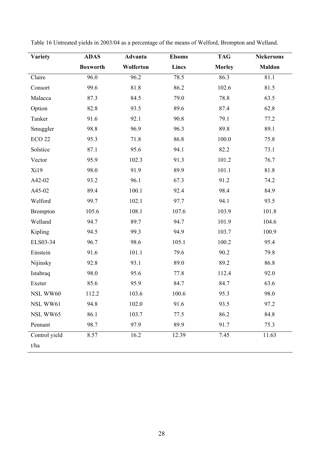| <b>Variety</b>  | <b>ADAS</b>     | Advanta   | <b>Elsoms</b> | <b>TAG</b>    | <b>Nickersons</b> |
|-----------------|-----------------|-----------|---------------|---------------|-------------------|
|                 | <b>Boxworth</b> | Wolferton | Lincs         | <b>Morley</b> | <b>Maldon</b>     |
| Claire          | 96.0            | 96.2      | 78.5          | 86.3          | 81.1              |
| Consort         | 99.6            | 81.8      | 86.2          | 102.6         | 81.5              |
| Malacca         | 87.3            | 84.5      | 79.0          | 78.8          | 63.5              |
| Option          | 82.8            | 93.5      | 89.6          | 87.4          | 62.8              |
| Tanker          | 91.6            | 92.1      | 90.8          | 79.1          | 77.2              |
| Smuggler        | 98.8            | 96.9      | 96.3          | 89.8          | 89.1              |
| <b>ECO 22</b>   | 95.3            | 71.8      | 86.8          | 100.0         | 75.8              |
| Solstice        | 87.1            | 95.6      | 94.1          | 82.2          | 73.1              |
| Vector          | 95.9            | 102.3     | 91.3          | 101.2         | 76.7              |
| Xi19            | 98.0            | 91.9      | 89.9          | 101.1         | 81.8              |
| A42-02          | 93.2            | 96.1      | 67.3          | 91.2          | 74.2              |
| A45-02          | 89.4            | 100.1     | 92.4          | 98.4          | 84.9              |
| Welford         | 99.7            | 102.1     | 97.7          | 94.1          | 93.5              |
| <b>Brompton</b> | 105.6           | 108.1     | 107.6         | 103.9         | 101.8             |
| Welland         | 94.7            | 89.7      | 94.7          | 101.9         | 104.6             |
| Kipling         | 94.5            | 99.3      | 94.9          | 103.7         | 100.9             |
| ELS03-34        | 96.7            | 98.6      | 105.1         | 100.2         | 95.4              |
| Einstein        | 91.6            | 101.1     | 79.6          | 90.2          | 79.8              |
| Nijinsky        | 92.8            | 93.1      | 89.0          | 89.2          | 86.8              |
| Istabraq        | 98.0            | 95.6      | 77.8          | 112.4         | 92.0              |
| Exeter          | 85.6            | 95.9      | 84.7          | 84.7          | 63.6              |
| NSL WW60        | 112.2           | 103.6     | 100.6         | 95.3          | 98.0              |
| NSL WW61        | 94.8            | 102.0     | 91.6          | 93.5          | 97.2              |
| NSL WW65        | 86.1            | 103.7     | 77.5          | 86.2          | 84.8              |
| Pennant         | 98.7            | 97.9      | 89.9          | 91.7          | 75.3              |
| Control yield   | 8.57            | 16.2      | 12.39         | 7.45          | 11.63             |
| t/ha            |                 |           |               |               |                   |

Table 16 Untreated yields in 2003/04 as a percentage of the means of Welford, Brompton and Welland.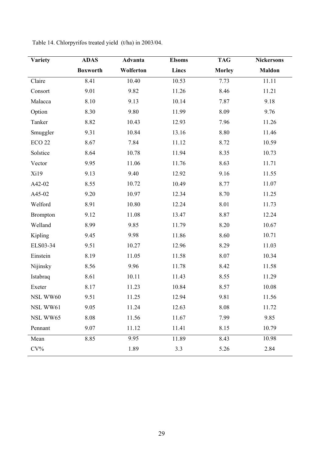| Variety           | <b>ADAS</b>     | Advanta   | <b>Elsoms</b> | <b>TAG</b>    | <b>Nickersons</b> |
|-------------------|-----------------|-----------|---------------|---------------|-------------------|
|                   | <b>Boxworth</b> | Wolferton | Lincs         | <b>Morley</b> | <b>Maldon</b>     |
| Claire            | 8.41            | 10.40     | 10.53         | 7.73          | 11.11             |
| Consort           | 9.01            | 9.82      | 11.26         | 8.46          | 11.21             |
| Malacca           | 8.10            | 9.13      | 10.14         | 7.87          | 9.18              |
| Option            | 8.30            | 9.80      | 11.99         | 8.09          | 9.76              |
| Tanker            | 8.82            | 10.43     | 12.93         | 7.96          | 11.26             |
| Smuggler          | 9.31            | 10.84     | 13.16         | 8.80          | 11.46             |
| ECO <sub>22</sub> | 8.67            | 7.84      | 11.12         | 8.72          | 10.59             |
| Solstice          | 8.64            | 10.78     | 11.94         | 8.35          | 10.73             |
| Vector            | 9.95            | 11.06     | 11.76         | 8.63          | 11.71             |
| Xi19              | 9.13            | 9.40      | 12.92         | 9.16          | 11.55             |
| A42-02            | 8.55            | 10.72     | 10.49         | 8.77          | 11.07             |
| A45-02            | 9.20            | 10.97     | 12.34         | 8.70          | 11.25             |
| Welford           | 8.91            | 10.80     | 12.24         | 8.01          | 11.73             |
| <b>Brompton</b>   | 9.12            | 11.08     | 13.47         | 8.87          | 12.24             |
| Welland           | 8.99            | 9.85      | 11.79         | 8.20          | 10.67             |
| Kipling           | 9.45            | 9.98      | 11.86         | 8.60          | 10.71             |
| ELS03-34          | 9.51            | 10.27     | 12.96         | 8.29          | 11.03             |
| Einstein          | 8.19            | 11.05     | 11.58         | 8.07          | 10.34             |
| Nijinsky          | 8.56            | 9.96      | 11.78         | 8.42          | 11.58             |
| Istabraq          | 8.61            | 10.11     | 11.43         | 8.55          | 11.29             |
| Exeter            | 8.17            | 11.23     | 10.84         | 8.57          | 10.08             |
| NSL WW60          | 9.51            | 11.25     | 12.94         | 9.81          | 11.56             |
| NSL WW61          | 9.05            | 11.24     | 12.63         | 8.08          | 11.72             |
| NSL WW65          | 8.08            | 11.56     | 11.67         | 7.99          | 9.85              |
| Pennant           | 9.07            | 11.12     | 11.41         | 8.15          | 10.79             |
| Mean              | 8.85            | 9.95      | 11.89         | 8.43          | 10.98             |
| $CV\%$            |                 | 1.89      | 3.3           | 5.26          | 2.84              |

Table 14. Chlorpyrifos treated yield (t/ha) in 2003/04.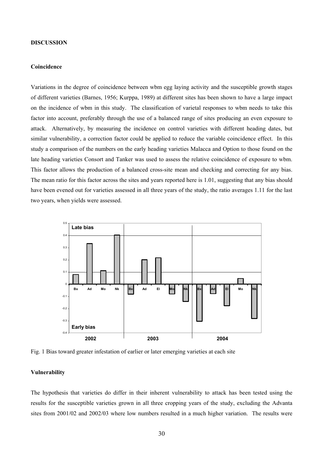### **DISCUSSION**

### **Coincidence**

Variations in the degree of coincidence between wbm egg laying activity and the susceptible growth stages of different varieties (Barnes, 1956; Kurppa, 1989) at different sites has been shown to have a large impact on the incidence of wbm in this study. The classification of varietal responses to wbm needs to take this factor into account, preferably through the use of a balanced range of sites producing an even exposure to attack. Alternatively, by measuring the incidence on control varieties with different heading dates, but similar vulnerability, a correction factor could be applied to reduce the variable coincidence effect. In this study a comparison of the numbers on the early heading varieties Malacca and Option to those found on the late heading varieties Consort and Tanker was used to assess the relative coincidence of exposure to wbm. This factor allows the production of a balanced cross-site mean and checking and correcting for any bias. The mean ratio for this factor across the sites and years reported here is 1.01, suggesting that any bias should have been evened out for varieties assessed in all three years of the study, the ratio averages 1.11 for the last two years, when yields were assessed.



Fig. 1 Bias toward greater infestation of earlier or later emerging varieties at each site

### **Vulnerability**

The hypothesis that varieties do differ in their inherent vulnerability to attack has been tested using the results for the susceptible varieties grown in all three cropping years of the study, excluding the Advanta sites from 2001/02 and 2002/03 where low numbers resulted in a much higher variation. The results were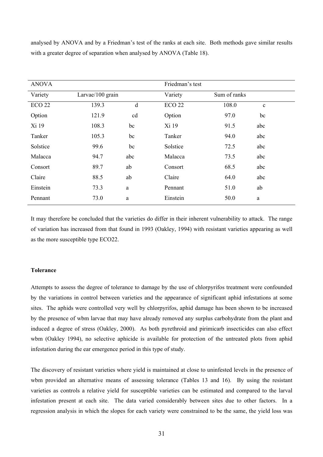analysed by ANOVA and by a Friedman's test of the ranks at each site. Both methods gave similar results with a greater degree of separation when analysed by ANOVA (Table 18).

| <b>ANOVA</b>  |                  |     | Friedman's test |              |             |
|---------------|------------------|-----|-----------------|--------------|-------------|
| Variety       | Larvae/100 grain |     | Variety         | Sum of ranks |             |
| <b>ECO 22</b> | 139.3            | d   | <b>ECO 22</b>   | 108.0        | $\mathbf c$ |
| Option        | 121.9            | cd  | Option          | 97.0         | bc          |
| Xi 19         | 108.3            | bc  | Xi 19           | 91.5         | abc         |
| Tanker        | 105.3            | bc  | Tanker          | 94.0         | abc         |
| Solstice      | 99.6             | bc  | Solstice        | 72.5         | abc         |
| Malacca       | 94.7             | abc | Malacca         | 73.5         | abc         |
| Consort       | 89.7             | ab  | Consort         | 68.5         | abc         |
| Claire        | 88.5             | ab  | Claire          | 64.0         | abc         |
| Einstein      | 73.3             | a   | Pennant         | 51.0         | ab          |
| Pennant       | 73.0             | a   | Einstein        | 50.0         | a           |

It may therefore be concluded that the varieties do differ in their inherent vulnerability to attack. The range of variation has increased from that found in 1993 (Oakley, 1994) with resistant varieties appearing as well as the more susceptible type ECO22.

# **Tolerance**

Attempts to assess the degree of tolerance to damage by the use of chlorpyrifos treatment were confounded by the variations in control between varieties and the appearance of significant aphid infestations at some sites. The aphids were controlled very well by chlorpyrifos, aphid damage has been shown to be increased by the presence of wbm larvae that may have already removed any surplus carbohydrate from the plant and induced a degree of stress (Oakley, 2000). As both pyrethroid and pirimicarb insecticides can also effect wbm (Oakley 1994), no selective aphicide is available for protection of the untreated plots from aphid infestation during the ear emergence period in this type of study.

The discovery of resistant varieties where yield is maintained at close to uninfested levels in the presence of wbm provided an alternative means of assessing tolerance (Tables 13 and 16). By using the resistant varieties as controls a relative yield for susceptible varieties can be estimated and compared to the larval infestation present at each site. The data varied considerably between sites due to other factors. In a regression analysis in which the slopes for each variety were constrained to be the same, the yield loss was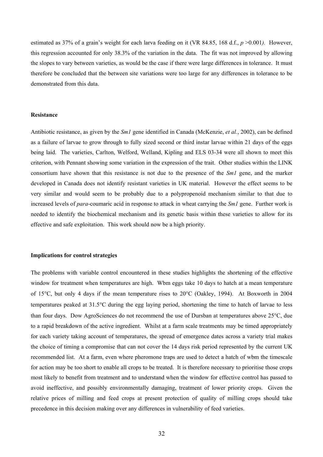estimated as 37% of a grain's weight for each larva feeding on it (VR 84.85, 168 d.f., *p* >0.001*).* However, this regression accounted for only 38.3% of the variation in the data. The fit was not improved by allowing the slopes to vary between varieties, as would be the case if there were large differences in tolerance. It must therefore be concluded that the between site variations were too large for any differences in tolerance to be demonstrated from this data.

### **Resistance**

Antibiotic resistance, as given by the *Sm1* gene identified in Canada (McKenzie, *et al.*, 2002), can be defined as a failure of larvae to grow through to fully sized second or third instar larvae within 21 days of the eggs being laid. The varieties, Carlton, Welford, Welland, Kipling and ELS 03-34 were all shown to meet this criterion, with Pennant showing some variation in the expression of the trait. Other studies within the LINK consortium have shown that this resistance is not due to the presence of the *Sm1* gene, and the marker developed in Canada does not identify resistant varieties in UK material. However the effect seems to be very similar and would seem to be probably due to a polypropenoid mechanism similar to that due to increased levels of *para*-coumaric acid in response to attack in wheat carrying the *Sm1* gene. Further work is needed to identify the biochemical mechanism and its genetic basis within these varieties to allow for its effective and safe exploitation. This work should now be a high priority.

### **Implications for control strategies**

The problems with variable control encountered in these studies highlights the shortening of the effective window for treatment when temperatures are high. Wbm eggs take 10 days to hatch at a mean temperature of 15°C, but only 4 days if the mean temperature rises to 20°C (Oakley, 1994). At Boxworth in 2004 temperatures peaked at 31.5°C during the egg laying period, shortening the time to hatch of larvae to less than four days. Dow AgroSciences do not recommend the use of Dursban at temperatures above 25°C, due to a rapid breakdown of the active ingredient. Whilst at a farm scale treatments may be timed appropriately for each variety taking account of temperatures, the spread of emergence dates across a variety trial makes the choice of timing a compromise that can not cover the 14 days risk period represented by the current UK recommended list. At a farm, even where pheromone traps are used to detect a hatch of wbm the timescale for action may be too short to enable all crops to be treated. It is therefore necessary to prioritise those crops most likely to benefit from treatment and to understand when the window for effective control has passed to avoid ineffective, and possibly environmentally damaging, treatment of lower priority crops. Given the relative prices of milling and feed crops at present protection of quality of milling crops should take precedence in this decision making over any differences in vulnerability of feed varieties.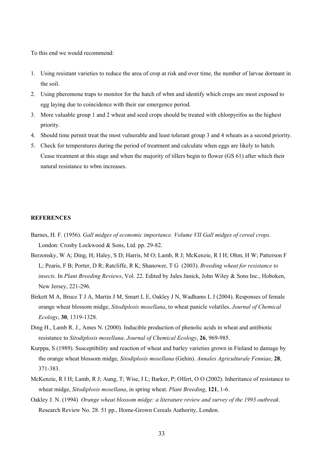To this end we would recommend:

- 1. Using resistant varieties to reduce the area of crop at risk and over time, the number of larvae dormant in the soil.
- 2. Using pheromone traps to monitor for the hatch of wbm and identify which crops are most exposed to egg laying due to coincidence with their ear emergence period.
- 3. More valuable group 1 and 2 wheat and seed crops should be treated with chlorpyrifos as the highest priority.
- 4. Should time permit treat the most vulnerable and least tolerant group 3 and 4 wheats as a second priority.
- 5. Check for temperatures during the period of treatment and calculate when eggs are likely to hatch. Cease treatment at this stage and when the majority of tillers begin to flower (GS 61) after which their natural resistance to wbm increases.

# **REFERENCES**

- Barnes, H. F. (1956). *Gall midges of economic importance. Volume VII Gall midges of cereal crops*. London: Crosby Lockwood & Sons, Ltd. pp. 29-82.
- Berzonsky, W A; Ding, H; Haley, S D; Harris, M O; Lamb, R J; McKenzie, R I H; Ohm, H W; Patterson F L; Pearis, F B; Porter, D R; Ratcliffe, R K; Shanower, T G (2003). *Breeding wheat for resistance to insects.* In *Plant Breeding Reviews*, Vol. 22. Edited by Jules Janick, John Wiley & Sons Inc., Hoboken, New Jersey, 221-296.
- Birkett M A, Bruce T J A, Martin J M, Smart L E, Oakley J N, Wadhams L J (2004). Responses of female orange wheat blossom midge, *Sitodiplosis mosellana*, to wheat panicle volatiles. *Journal of Chemical Ecology*, **30**, 1319-1328.
- Ding H., Lamb R. J., Ames N. (2000). Inducible production of phenolic acids in wheat and antibiotic resistance to *Sitodiplosis mosellana*. *Journal of Chemical Ecology*, **26**, 969-985.
- Kurppa, S (1989). Susceptibility and reaction of wheat and barley varieties grown in Finland to damage by the orange wheat blossom midge, *Sitodiplosis mosellana* (Gehin). *Annales Agriculturale Fenniae*, **28**, 371-383.
- McKenzie, R I H; Lamb, R J; Aung, T; Wise, I L; Barker, P; Olfert, O O (2002). Inheritance of resistance to wheat midge, *Sitodiplosis mosellana*, in spring wheat. *Plant Breeding*, **121**, 1-6.
- Oakley J. N. (1994) *Orange wheat blossom midge: a literature review and survey of the 1993 outbreak*. Research Review No. 28. 51 pp., Home-Grown Cereals Authority, London.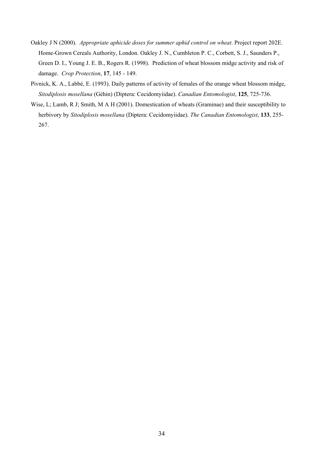- Oakley J N (2000). *Appropriate aphicide doses for summer aphid control on wheat*. Project report 202E. Home-Grown Cereals Authority, London. Oakley J. N., Cumbleton P. C., Corbett, S. J., Saunders P., Green D. I., Young J. E. B., Rogers R. (1998). Prediction of wheat blossom midge activity and risk of damage. *Crop Protection*, **17**, 145 - 149.
- Pivnick, K. A., Labbé, E. (1993). Daily patterns of activity of females of the orange wheat blossom midge, *Sitodiplosis mosellana* (Géhin) (Diptera: Cecidomyiidae). *Canadian Entomologist*, **125**, 725-736.
- Wise, L; Lamb, R J; Smith, M A H (2001). Domestication of wheats (Graminae) and their susceptibility to herbivory by *Sitodiplosis mosellana* (Diptera: Cecidomyiidae). *The Canadian Entomologist*, **133**, 255- 267.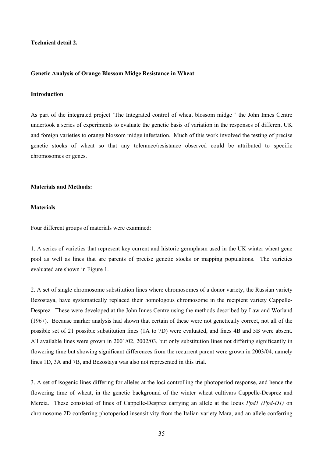**Technical detail 2.** 

#### **Genetic Analysis of Orange Blossom Midge Resistance in Wheat**

# **Introduction**

As part of the integrated project 'The Integrated control of wheat blossom midge ' the John Innes Centre undertook a series of experiments to evaluate the genetic basis of variation in the responses of different UK and foreign varieties to orange blossom midge infestation. Much of this work involved the testing of precise genetic stocks of wheat so that any tolerance/resistance observed could be attributed to specific chromosomes or genes.

# **Materials and Methods:**

## **Materials**

Four different groups of materials were examined:

1. A series of varieties that represent key current and historic germplasm used in the UK winter wheat gene pool as well as lines that are parents of precise genetic stocks or mapping populations. The varieties evaluated are shown in Figure 1.

2. A set of single chromosome substitution lines where chromosomes of a donor variety, the Russian variety Bezostaya, have systematically replaced their homologous chromosome in the recipient variety Cappelle-Desprez. These were developed at the John Innes Centre using the methods described by Law and Worland (1967). Because marker analysis had shown that certain of these were not genetically correct, not all of the possible set of 21 possible substitution lines (1A to 7D) were evaluated, and lines 4B and 5B were absent. All available lines were grown in 2001/02, 2002/03, but only substitution lines not differing significantly in flowering time but showing significant differences from the recurrent parent were grown in 2003/04, namely lines 1D, 3A and 7B, and Bezostaya was also not represented in this trial.

3. A set of isogenic lines differing for alleles at the loci controlling the photoperiod response, and hence the flowering time of wheat, in the genetic background of the winter wheat cultivars Cappelle-Desprez and Mercia. These consisted of lines of Cappelle-Desprez carrying an allele at the locus *Ppd1 (Ppd-D1)* on chromosome 2D conferring photoperiod insensitivity from the Italian variety Mara, and an allele conferring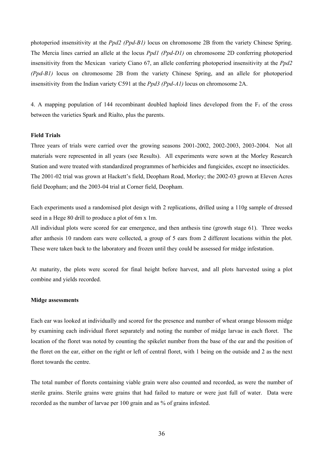photoperiod insensitivity at the *Ppd2 (Ppd-B1)* locus on chromosome 2B from the variety Chinese Spring. The Mercia lines carried an allele at the locus *Ppd1 (Ppd-D1)* on chromosome 2D conferring photoperiod insensitivity from the Mexican variety Ciano 67, an allele conferring photoperiod insensitivity at the *Ppd2 (Ppd-B1)* locus on chromosome 2B from the variety Chinese Spring, and an allele for photoperiod insensitivity from the Indian variety C591 at the *Ppd3 (Ppd-A1)* locus on chromosome 2A.

4. A mapping population of 144 recombinant doubled haploid lines developed from the  $F_1$  of the cross between the varieties Spark and Rialto, plus the parents.

# **Field Trials**

Three years of trials were carried over the growing seasons 2001-2002, 2002-2003, 2003-2004. Not all materials were represented in all years (see Results). All experiments were sown at the Morley Research Station and were treated with standardized programmes of herbicides and fungicides, except no insecticides. The 2001-02 trial was grown at Hackett's field, Deopham Road, Morley; the 2002-03 grown at Eleven Acres field Deopham; and the 2003-04 trial at Corner field, Deopham.

Each experiments used a randomised plot design with 2 replications, drilled using a 110g sample of dressed seed in a Hege 80 drill to produce a plot of 6m x 1m.

All individual plots were scored for ear emergence, and then anthesis tine (growth stage 61). Three weeks after anthesis 10 random ears were collected, a group of 5 ears from 2 different locations within the plot. These were taken back to the laboratory and frozen until they could be assessed for midge infestation.

At maturity, the plots were scored for final height before harvest, and all plots harvested using a plot combine and yields recorded.

### **Midge assessments**

Each ear was looked at individually and scored for the presence and number of wheat orange blossom midge by examining each individual floret separately and noting the number of midge larvae in each floret. The location of the floret was noted by counting the spikelet number from the base of the ear and the position of the floret on the ear, either on the right or left of central floret, with 1 being on the outside and 2 as the next floret towards the centre.

The total number of florets containing viable grain were also counted and recorded, as were the number of sterile grains. Sterile grains were grains that had failed to mature or were just full of water. Data were recorded as the number of larvae per 100 grain and as % of grains infested.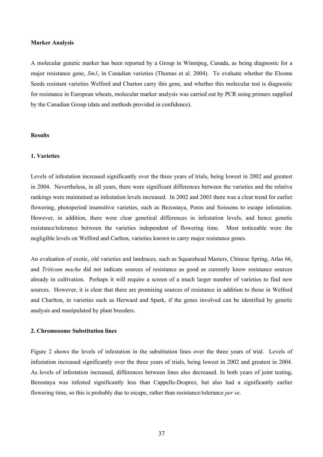### **Marker Analysis**

A molecular genetic marker has been reported by a Group in Winnipeg, Canada, as being diagnostic for a major resistance gene, *Sm1*, in Canadian varieties (Thomas et al. 2004). To evaluate whether the Elsoms Seeds resistant varieties Welford and Charton carry this gene, and whether this molecular test is diagnostic for resistance in European wheats, molecular marker analysis was carried out by PCR using primers supplied by the Canadian Group (data and methods provided in confidence).

# **Results**

### **1. Varieties**

Levels of infestation increased significantly over the three years of trials, being lowest in 2002 and greatest in 2004. Nevertheless, in all years, there were significant differences between the varieties and the relative rankings were maintained as infestation levels increased. In 2002 and 2003 there was a clear trend for earlier flowering, photoperiod insensitive varieties, such as Bezostaya, Poros and Soissons to escape infestation. However, in addition, there were clear genetical differences in infestation levels, and hence genetic resistance/tolerance between the varieties independent of flowering time. Most noticeable were the negligible levels on Welford and Carlton, varieties known to carry major resistance genes.

An evaluation of exotic, old varieties and landraces, such as Squarehead Masters, Chinese Spring, Atlas 66, and *Triticum macha* did not indicate sources of resistance as good as currently know resistance sources already in cultivation. Perhaps it will require a screen of a much larger number of varieties to find new sources. However, it is clear that there are promising sources of resistance in addition to those in Welford and Charlton, in varieties such as Herward and Spark, if the genes involved can be identified by genetic analysis and manipulated by plant breeders.

### **2. Chromosome Substitution lines**

Figure 2 shows the levels of infestation in the substitution lines over the three years of trial. Levels of infestation increased significantly over the three years of trials, being lowest in 2002 and greatest in 2004. As levels of infestation increased, differences between lines also decreased. In both years of joint testing, Bezostaya was infested significantly less than Cappelle-Desprez, but also had a significantly earlier flowering time, so this is probably due to escape, rather than resistance/tolerance *per se*.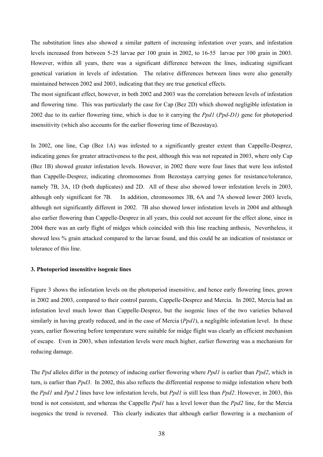The substitution lines also showed a similar pattern of increasing infestation over years, and infestation levels increased from between 5-25 larvae per 100 grain in 2002, to 16-55 larvae per 100 grain in 2003. However, within all years, there was a significant difference between the lines, indicating significant genetical variation in levels of infestation. The relative differences between lines were also generally maintained between 2002 and 2003, indicating that they are true genetical effects.

The most significant effect, however, in both 2002 and 2003 was the correlation between levels of infestation and flowering time. This was particularly the case for Cap (Bez 2D) which showed negligible infestation in 2002 due to its earlier flowering time, which is due to it carrying the *Ppd1* (*Ppd-D1)* gene for photoperiod insensitivity (which also accounts for the earlier flowering time of Bezostaya).

In 2002, one line, Cap (Bez 1A) was infested to a significantly greater extent than Cappelle-Desprez, indicating genes for greater attractiveness to the pest, although this was not repeated in 2003, where only Cap (Bez 1B) showed greater infestation levels. However, in 2002 there were four lines that were less infested than Cappelle-Desprez, indicating chromosomes from Bezostaya carrying genes for resistance/tolerance, namely 7B, 3A, 1D (both duplicates) and 2D. All of these also showed lower infestation levels in 2003, although only significant for 7B. In addition, chromosomes 3B, 6A and 7A showed lower 2003 levels, although not significantly different in 2002. 7B also showed lower infestation levels in 2004 and although also earlier flowering than Cappelle-Desprez in all years, this could not account for the effect alone, since in 2004 there was an early flight of midges which coincided with this line reaching anthesis, Nevertheless, it showed less % grain attacked compared to the larvae found, and this could be an indication of resistance or tolerance of this line.

## **3. Photoperiod insensitive isogenic lines**

Figure 3 shows the infestation levels on the photoperiod insensitive, and hence early flowering lines, grown in 2002 and 2003, compared to their control parents, Cappelle-Desprez and Mercia. In 2002, Mercia had an infestation level much lower than Cappelle-Desprez, but the isogenic lines of the two varieties behaved similarly in having greatly reduced, and in the case of Mercia (*Ppd1*), a negligible infestation level. In these years, earlier flowering before temperature were suitable for midge flight was clearly an efficient mechanism of escape. Even in 2003, when infestation levels were much higher, earlier flowering was a mechanism for reducing damage.

The *Ppd* alleles differ in the potency of inducing earlier flowering where *Ppd1* is earlier than *Ppd2*, which in turn, is earlier than *Ppd3*. In 2002, this also reflects the differential response to midge infestation where both the *Ppd1* and *Ppd 2* lines have low infestation levels, but *Ppd1* is still less than *Ppd2*. However, in 2003, this trend is not consistent, and whereas the Cappelle *Ppd1* has a level lower than the *Ppd2* line, for the Mercia isogenics the trend is reversed. This clearly indicates that although earlier flowering is a mechanism of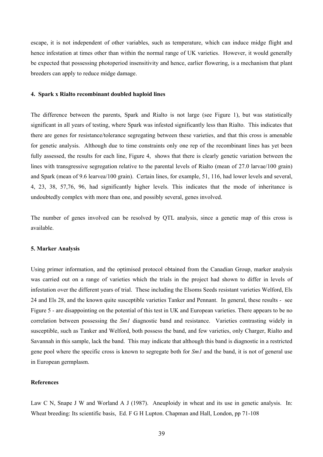escape, it is not independent of other variables, such as temperature, which can induce midge flight and hence infestation at times other than within the normal range of UK varieties. However, it would generally be expected that possessing photoperiod insensitivity and hence, earlier flowering, is a mechanism that plant breeders can apply to reduce midge damage.

### **4. Spark x Rialto recombinant doubled haploid lines**

The difference between the parents, Spark and Rialto is not large (see Figure 1), but was statistically significant in all years of testing, where Spark was infested significantly less than Rialto. This indicates that there are genes for resistance/tolerance segregating between these varieties, and that this cross is amenable for genetic analysis. Although due to time constraints only one rep of the recombinant lines has yet been fully assessed, the results for each line, Figure 4, shows that there is clearly genetic variation between the lines with transgressive segregation relative to the parental levels of Rialto (mean of 27.0 larvae/100 grain) and Spark (mean of 9.6 learvea/100 grain). Certain lines, for example, 51, 116, had lower levels and several, 4, 23, 38, 57,76, 96, had significantly higher levels. This indicates that the mode of inheritance is undoubtedly complex with more than one, and possibly several, genes involved.

The number of genes involved can be resolved by QTL analysis, since a genetic map of this cross is available.

### **5. Marker Analysis**

Using primer information, and the optimised protocol obtained from the Canadian Group, marker analysis was carried out on a range of varieties which the trials in the project had shown to differ in levels of infestation over the different years of trial. These including the Elsoms Seeds resistant varieties Welford, Els 24 and Els 28, and the known quite susceptible varieties Tanker and Pennant. In general, these results - see Figure 5 - are disappointing on the potential of this test in UK and European varieties. There appears to be no correlation between possessing the *Sm1* diagnostic band and resistance. Varieties contrasting widely in susceptible, such as Tanker and Welford, both possess the band, and few varieties, only Charger, Rialto and Savannah in this sample, lack the band. This may indicate that although this band is diagnostic in a restricted gene pool where the specific cross is known to segregate both for *Sm1* and the band, it is not of general use in European germplasm.

## **References**

Law C N, Snape J W and Worland A J (1987). Aneuploidy in wheat and its use in genetic analysis. In: Wheat breeding: Its scientific basis, Ed. F G H Lupton. Chapman and Hall, London, pp 71-108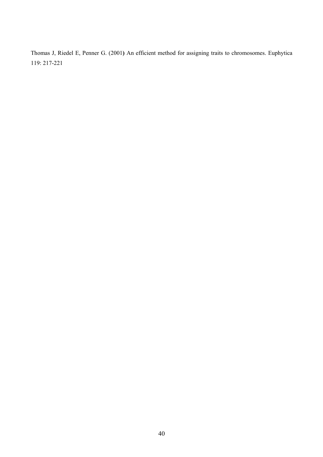Thomas J, Riedel E, Penner G. (2001**)** An efficient method for assigning traits to chromosomes. Euphytica 119: 217-221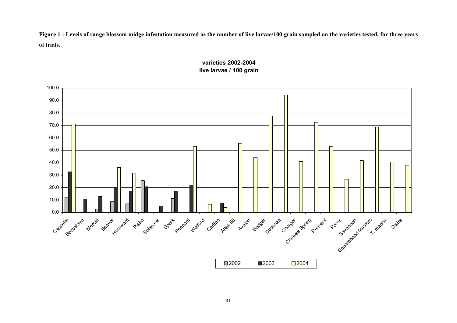**Figure 1 : Levels of range blossom midge infestation measured as the number of live larvae/100 grain sampled on the varieties tested, for three years of trials.** 



# **varieties 2002-2004live larvae / 100 grain**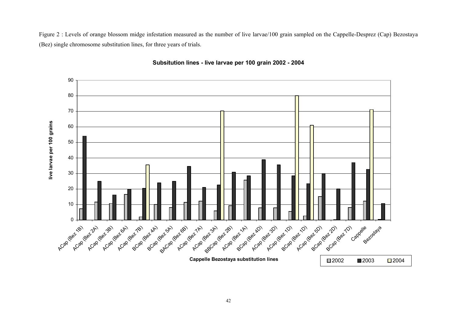Figure 2 : Levels of orange blossom midge infestation measured as the number of live larvae/100 grain sampled on the Cappelle-Desprez (Cap) Bezostaya (Bez) single chromosome substitution lines, for three years of trials.



**Subsitution lines - live larvae per 100 grain 2002 - 2004**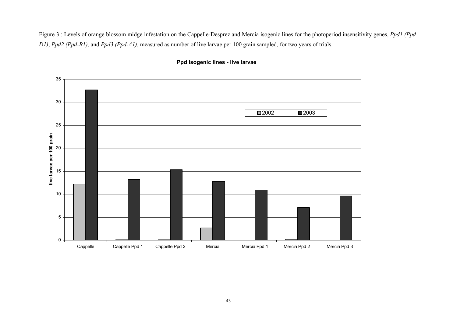Figure 3 : Levels of orange blossom midge infestation on the Cappelle-Desprez and Mercia isogenic lines for the photoperiod insensitivity genes, *Ppd1 (Ppd-D1)*, *Ppd2 (Ppd-B1)*, and *Ppd3 (Ppd-A1)*, measured as number of live larvae per 100 grain sampled, for two years of trials.



# **Ppd isogenic lines - live larvae**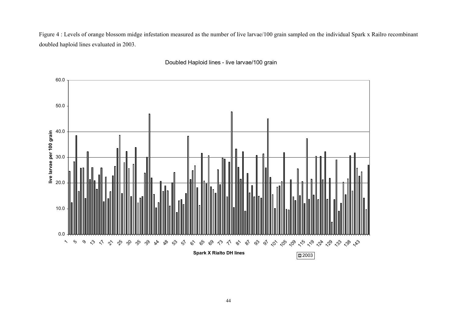Figure 4 : Levels of orange blossom midge infestation measured as the number of live larvae/100 grain sampled on the individual Spark x Railro recombinant doubled haploid lines evaluated in 2003.



Doubled Haploid lines - live larvae/100 grain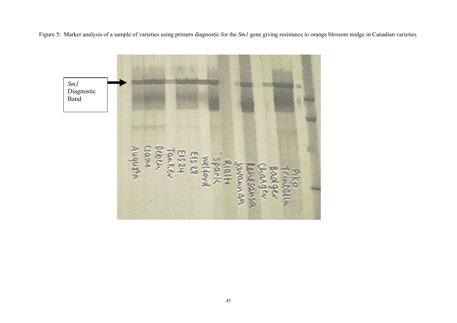Figure 5: Marker analysis of a sample of varieties using primers diagnostic for the *Sm1* gene giving resistance to orange blossom midge in Canadian varieties

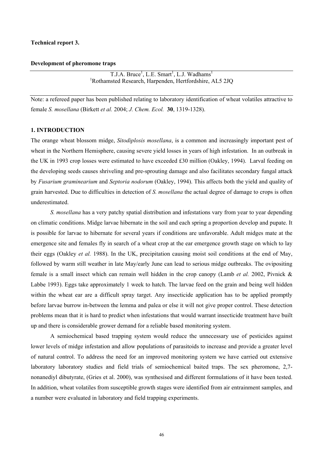### **Technical report 3.**

# **Development of pheromone traps**

 $T.J.A. Bruce<sup>1</sup>, L.E. Smart<sup>1</sup>, L.J. Wadhams<sup>1</sup>$ 1 Rothamsted Research, Harpenden, Hertfordshire, AL5 2JQ

Note: a refereed paper has been published relating to laboratory identification of wheat volatiles attractive to female *S. mosellana* (Birkett *et al.* 2004; *J. Chem. Ecol.* **30**, 1319-1328).

### **1. INTRODUCTION**

The orange wheat blossom midge, *Sitodiplosis mosellana*, is a common and increasingly important pest of wheat in the Northern Hemisphere, causing severe yield losses in years of high infestation. In an outbreak in the UK in 1993 crop losses were estimated to have exceeded £30 million (Oakley, 1994). Larval feeding on the developing seeds causes shriveling and pre-sprouting damage and also facilitates secondary fungal attack by *Fusarium graminearium* and *Septoria nodorum* (Oakley, 1994). This affects both the yield and quality of grain harvested. Due to difficulties in detection of *S. mosellana* the actual degree of damage to crops is often underestimated.

 *S. mosellana* has a very patchy spatial distribution and infestations vary from year to year depending on climatic conditions. Midge larvae hibernate in the soil and each spring a proportion develop and pupate. It is possible for larvae to hibernate for several years if conditions are unfavorable. Adult midges mate at the emergence site and females fly in search of a wheat crop at the ear emergence growth stage on which to lay their eggs (Oakley *et al.* 1988). In the UK, precipitation causing moist soil conditions at the end of May, followed by warm still weather in late May/early June can lead to serious midge outbreaks. The ovipositing female is a small insect which can remain well hidden in the crop canopy (Lamb *et al.* 2002, Pivnick & Labbe 1993). Eggs take approximately 1 week to hatch. The larvae feed on the grain and being well hidden within the wheat ear are a difficult spray target. Any insecticide application has to be applied promptly before larvae burrow in-between the lemma and palea or else it will not give proper control. These detection problems mean that it is hard to predict when infestations that would warrant insecticide treatment have built up and there is considerable grower demand for a reliable based monitoring system.

 A semiochemical based trapping system would reduce the unnecessary use of pesticides against lower levels of midge infestation and allow populations of parasitoids to increase and provide a greater level of natural control. To address the need for an improved monitoring system we have carried out extensive laboratory laboratory studies and field trials of semiochemical baited traps. The sex pheromone, 2,7 nonanediyl dibutyrate, (Gries et al. 2000), was synthesised and different formulations of it have been tested. In addition, wheat volatiles from susceptible growth stages were identified from air entrainment samples, and a number were evaluated in laboratory and field trapping experiments.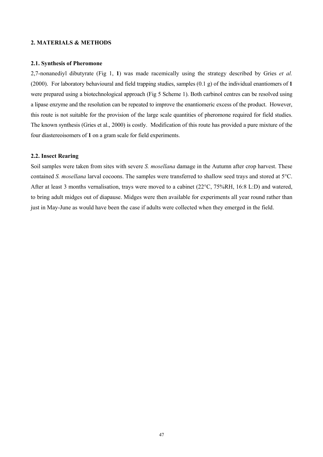### **2. MATERIALS & METHODS**

### **2.1. Synthesis of Pheromone**

2,7-nonanediyl dibutyrate (Fig 1, **1**) was made racemically using the strategy described by Gries *et al.*  (2000). For laboratory behavioural and field trapping studies, samples (0.1 g) of the individual enantiomers of **1** were prepared using a biotechnological approach (Fig 5 Scheme 1). Both carbinol centres can be resolved using a lipase enzyme and the resolution can be repeated to improve the enantiomeric excess of the product. However, this route is not suitable for the provision of the large scale quantities of pheromone required for field studies. The known synthesis (Gries et al., 2000) is costly. Modification of this route has provided a pure mixture of the four diastereoisomers of **1** on a gram scale for field experiments.

#### **2.2. Insect Rearing**

Soil samples were taken from sites with severe *S. mosellana* damage in the Autumn after crop harvest. These contained *S. mosellana* larval cocoons. The samples were transferred to shallow seed trays and stored at 5°C. After at least 3 months vernalisation, trays were moved to a cabinet (22°C, 75%RH, 16:8 L:D) and watered, to bring adult midges out of diapause. Midges were then available for experiments all year round rather than just in May-June as would have been the case if adults were collected when they emerged in the field.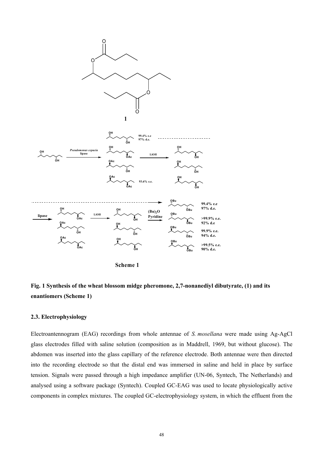

**Scheme 1**

# **Fig. 1 Synthesis of the wheat blossom midge pheromone, 2,7-nonanediyl dibutyrate, (1) and its enantiomers (Scheme 1)**

### **2.3. Electrophysiology**

Electroantennogram (EAG) recordings from whole antennae of *S. mosellana* were made using Ag-AgCl glass electrodes filled with saline solution (composition as in Maddrell, 1969, but without glucose). The abdomen was inserted into the glass capillary of the reference electrode. Both antennae were then directed into the recording electrode so that the distal end was immersed in saline and held in place by surface tension. Signals were passed through a high impedance amplifier (UN-06, Syntech, The Netherlands) and analysed using a software package (Syntech). Coupled GC-EAG was used to locate physiologically active components in complex mixtures. The coupled GC-electrophysiology system, in which the effluent from the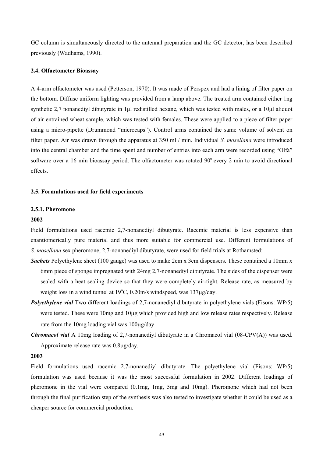GC column is simultaneously directed to the antennal preparation and the GC detector, has been described previously (Wadhams, 1990).

### **2.4. Olfactometer Bioassay**

A 4-arm olfactometer was used (Petterson, 1970). It was made of Perspex and had a lining of filter paper on the bottom. Diffuse uniform lighting was provided from a lamp above. The treated arm contained either 1ng synthetic 2,7 nonanediyl dibutyrate in 1µl redistilled hexane, which was tested with males, or a 10µl aliquot of air entrained wheat sample, which was tested with females. These were applied to a piece of filter paper using a micro-pipette (Drummond "microcaps"). Control arms contained the same volume of solvent on filter paper. Air was drawn through the apparatus at 350 ml / min. Individual *S. mosellana* were introduced into the central chamber and the time spent and number of entries into each arm were recorded using "Olfa" software over a 16 min bioassay period. The olfactometer was rotated  $90^\circ$  every 2 min to avoid directional effects.

### **2.5. Formulations used for field experiments**

### **2.5.1. Pheromone**

#### **2002**

Field formulations used racemic 2,7-nonanediyl dibutyrate. Racemic material is less expensive than enantiomerically pure material and thus more suitable for commercial use. Different formulations of *S. mosellana* sex pheromone, 2,7-nonanediyl dibutyrate, were used for field trials at Rothamsted:

- *Sachets* Polyethylene sheet (100 gauge) was used to make 2cm x 3cm dispensers. These contained a 10mm x 6mm piece of sponge impregnated with 24mg 2,7-nonanediyl dibutyrate. The sides of the dispenser were sealed with a heat sealing device so that they were completely air-tight. Release rate, as measured by weight loss in a wind tunnel at 19°C, 0.20m/s windspeed, was 137µg/day.
- *Polyethylene vial* Two different loadings of 2,7-nonanediyl dibutyrate in polyethylene vials (Fisons: WP/5) were tested. These were 10mg and 10µg which provided high and low release rates respectively. Release rate from the 10mg loading vial was 100µg/day
- *Chromacol vial* A 10mg loading of 2,7-nonanediyl dibutyrate in a Chromacol vial (08-CPV(A)) was used. Approximate release rate was 0.8µg/day.

### **2003**

Field formulations used racemic 2,7-nonanediyl dibutyrate. The polyethylene vial (Fisons: WP/5) formulation was used because it was the most successful formulation in 2002. Different loadings of pheromone in the vial were compared (0.1mg, 1mg, 5mg and 10mg). Pheromone which had not been through the final purification step of the synthesis was also tested to investigate whether it could be used as a cheaper source for commercial production.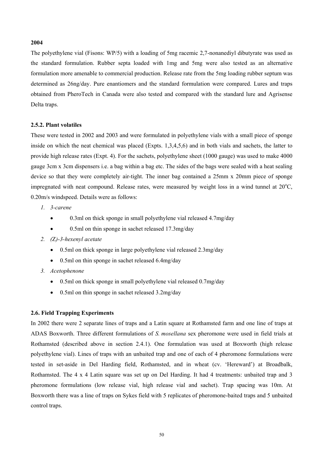### **2004**

The polyethylene vial (Fisons: WP/5) with a loading of 5mg racemic 2,7-nonanediyl dibutyrate was used as the standard formulation. Rubber septa loaded with 1mg and 5mg were also tested as an alternative formulation more amenable to commercial production. Release rate from the 5mg loading rubber septum was determined as 26ng/day. Pure enantiomers and the standard formulation were compared. Lures and traps obtained from PheroTech in Canada were also tested and compared with the standard lure and Agrisense Delta traps.

### **2.5.2. Plant volatiles**

These were tested in 2002 and 2003 and were formulated in polyethylene vials with a small piece of sponge inside on which the neat chemical was placed (Expts. 1,3,4,5,6) and in both vials and sachets, the latter to provide high release rates (Expt. 4). For the sachets, polyethylene sheet (1000 gauge) was used to make 4000 gauge 3cm x 3cm dispensers i.e. a bag within a bag etc. The sides of the bags were sealed with a heat sealing device so that they were completely air-tight. The inner bag contained a 25mm x 20mm piece of sponge impregnated with neat compound. Release rates, were measured by weight loss in a wind tunnel at  $20^{\circ}$ C, 0.20m/s windspeed. Details were as follows:

- *1. 3-carene* 
	- 0.3ml on thick sponge in small polyethylene vial released 4.7mg/day
	- 0.5ml on thin sponge in sachet released 17.3mg/day
- *2. (*Z*)-3-hexenyl acetate* 
	- 0.5ml on thick sponge in large polyethylene vial released 2.3mg/day
	- 0.5ml on thin sponge in sachet released 6.4mg/day
- *3. Acetophenone* 
	- 0.5ml on thick sponge in small polyethylene vial released 0.7mg/day
	- 0.5ml on thin sponge in sachet released 3.2mg/day

# **2.6. Field Trapping Experiments**

In 2002 there were 2 separate lines of traps and a Latin square at Rothamsted farm and one line of traps at ADAS Boxworth. Three different formulations of *S. mosellana* sex pheromone were used in field trials at Rothamsted (described above in section 2.4.1). One formulation was used at Boxworth (high release polyethylene vial). Lines of traps with an unbaited trap and one of each of 4 pheromone formulations were tested in set-aside in Del Harding field, Rothamsted, and in wheat (cv. 'Hereward') at Broadbalk, Rothamsted. The 4 x 4 Latin square was set up on Del Harding. It had 4 treatments: unbaited trap and 3 pheromone formulations (low release vial, high release vial and sachet). Trap spacing was 10m. At Boxworth there was a line of traps on Sykes field with 5 replicates of pheromone-baited traps and 5 unbaited control traps.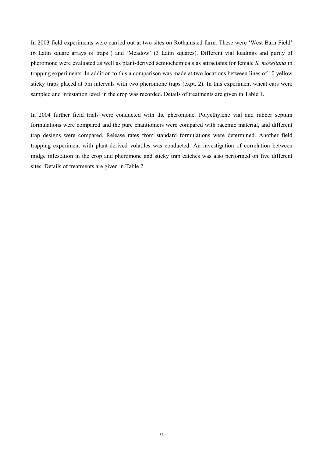In 2003 field experiments were carried out at two sites on Rothamsted farm. These were 'West Barn Field' (6 Latin square arrays of traps ) and 'Meadow' (3 Latin squares). Different vial loadings and purity of pheromone were evaluated as well as plant-derived semiochemicals as attractants for female *S. mosellana* in trapping experiments. In addition to this a comparison was made at two locations between lines of 10 yellow sticky traps placed at 5m intervals with two pheromone traps (expt. 2). In this experiment wheat ears were sampled and infestation level in the crop was recorded. Details of treatments are given in Table 1.

In 2004 further field trials were conducted with the pheromone. Polyethylene vial and rubber septum formulations were compared and the pure enantiomers were compared with racemic material, and different trap designs were compared. Release rates from standard formulations were determined. Another field trapping experiment with plant-derived volatiles was conducted. An investigation of correlation between midge infestation in the crop and pheromone and sticky trap catches was also performed on five different sites. Details of treatments are given in Table 2.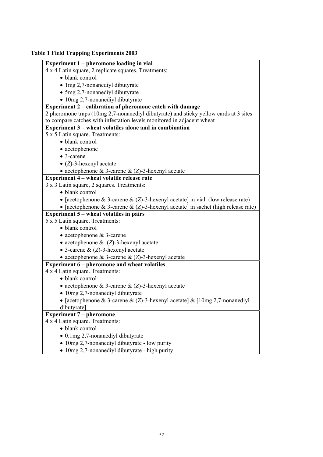# **Table 1 Field Trapping Experiments 2003**

# **Experiment 1 – pheromone loading in vial**

4 x 4 Latin square, 2 replicate squares. Treatments:

- blank control
- 1mg 2,7-nonanediyl dibutyrate
- 5mg 2,7-nonanediyl dibutyrate
- 10mg 2.7-nonanediyl dibutyrate

# **Experiment 2 – calibration of pheromone catch with damage**

2 pheromone traps (10mg 2,7-nonanediyl dibutyrate) and sticky yellow cards at 3 sites to compare catches with infestation levels monitored in adjacent wheat

# **Experiment 3 – wheat volatiles alone and in combination**

- 5 x 5 Latin square. Treatments:
	- blank control
	- acetophenone
	- 3-carene
	- (*Z*)-3-hexenyl acetate
	- acetophenone & 3-carene & (*Z*)-3-hexenyl acetate

# **Experiment 4 – wheat volatile release rate**

# 3 x 3 Latin square, 2 squares. Treatments:

- blank control
- [acetophenone & 3-carene & (*Z*)-3-hexenyl acetate] in vial (low release rate)
- [acetophenone & 3-carene & (*Z*)-3-hexenyl acetate] in sachet (high release rate)

# **Experiment 5 – wheat volatiles in pairs**

# 5 x 5 Latin square. Treatments:

- blank control
- acetophenone & 3-carene
- acetophenone & (*Z*)-3-hexenyl acetate
- 3-carene & (*Z*)-3-hexenyl acetate

# • acetophenone & 3-carene & (*Z*)-3-hexenyl acetate

# **Experiment 6 – pheromone and wheat volatiles**

- 4 x 4 Latin square. Treatments:
	- blank control
	- acetophenone & 3-carene & (*Z*)-3-hexenyl acetate
	- 10mg 2,7-nonanediyl dibutyrate
	- [acetophenone & 3-carene & (*Z*)-3-hexenyl acetate] & [10mg 2,7-nonanediyl dibutyrate]

# **Experiment 7 – pheromone**

# 4 x 4 Latin square. Treatments:

- blank control
- 0.1mg 2,7-nonanediyl dibutyrate
- 10mg 2,7-nonanediyl dibutyrate low purity
- 10mg 2,7-nonanediyl dibutyrate high purity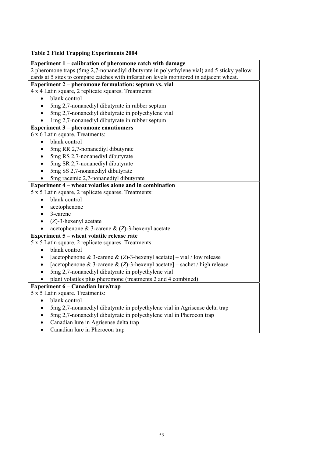# **Table 2 Field Trapping Experiments 2004**

| 2 pheromone traps (5mg 2,7-nonanediyl dibutyrate in polyethylene vial) and 5 sticky yellow<br>cards at 5 sites to compare catches with infestation levels monitored in adjacent wheat.<br>Experiment 2 – pheromone formulation: septum vs. vial<br>4 x 4 Latin square, 2 replicate squares. Treatments:<br>blank control<br>$\bullet$<br>5mg 2,7-nonanediyl dibutyrate in rubber septum<br>$\bullet$<br>5mg 2,7-nonanediyl dibutyrate in polyethylene vial<br>$\bullet$<br>1mg 2,7-nonanediyl dibutyrate in rubber septum<br><b>Experiment 3 – pheromone enantiomers</b> |
|--------------------------------------------------------------------------------------------------------------------------------------------------------------------------------------------------------------------------------------------------------------------------------------------------------------------------------------------------------------------------------------------------------------------------------------------------------------------------------------------------------------------------------------------------------------------------|
|                                                                                                                                                                                                                                                                                                                                                                                                                                                                                                                                                                          |
|                                                                                                                                                                                                                                                                                                                                                                                                                                                                                                                                                                          |
|                                                                                                                                                                                                                                                                                                                                                                                                                                                                                                                                                                          |
|                                                                                                                                                                                                                                                                                                                                                                                                                                                                                                                                                                          |
|                                                                                                                                                                                                                                                                                                                                                                                                                                                                                                                                                                          |
|                                                                                                                                                                                                                                                                                                                                                                                                                                                                                                                                                                          |
|                                                                                                                                                                                                                                                                                                                                                                                                                                                                                                                                                                          |
|                                                                                                                                                                                                                                                                                                                                                                                                                                                                                                                                                                          |
|                                                                                                                                                                                                                                                                                                                                                                                                                                                                                                                                                                          |
| 6 x 6 Latin square. Treatments:                                                                                                                                                                                                                                                                                                                                                                                                                                                                                                                                          |
| blank control                                                                                                                                                                                                                                                                                                                                                                                                                                                                                                                                                            |
| 5mg RR 2,7-nonanediyl dibutyrate                                                                                                                                                                                                                                                                                                                                                                                                                                                                                                                                         |
| 5mg RS 2,7-nonanediyl dibutyrate                                                                                                                                                                                                                                                                                                                                                                                                                                                                                                                                         |
| 5mg SR 2,7-nonanediyl dibutyrate                                                                                                                                                                                                                                                                                                                                                                                                                                                                                                                                         |
| 5mg SS 2,7-nonanediyl dibutyrate                                                                                                                                                                                                                                                                                                                                                                                                                                                                                                                                         |
| 5mg racemic 2,7-nonanediyl dibutyrate                                                                                                                                                                                                                                                                                                                                                                                                                                                                                                                                    |
| Experiment 4 – wheat volatiles alone and in combination                                                                                                                                                                                                                                                                                                                                                                                                                                                                                                                  |
| 5 x 5 Latin square, 2 replicate squares. Treatments:                                                                                                                                                                                                                                                                                                                                                                                                                                                                                                                     |
| blank control                                                                                                                                                                                                                                                                                                                                                                                                                                                                                                                                                            |
| acetophenone                                                                                                                                                                                                                                                                                                                                                                                                                                                                                                                                                             |
| 3-carene<br>$\bullet$                                                                                                                                                                                                                                                                                                                                                                                                                                                                                                                                                    |
| $(Z)$ -3-hexenyl acetate<br>$\bullet$                                                                                                                                                                                                                                                                                                                                                                                                                                                                                                                                    |
| acetophenone & 3-carene & $(Z)$ -3-hexenyl acetate                                                                                                                                                                                                                                                                                                                                                                                                                                                                                                                       |
| Experiment 5 – wheat volatile release rate                                                                                                                                                                                                                                                                                                                                                                                                                                                                                                                               |
| 5 x 5 Latin square, 2 replicate squares. Treatments:                                                                                                                                                                                                                                                                                                                                                                                                                                                                                                                     |
| blank control                                                                                                                                                                                                                                                                                                                                                                                                                                                                                                                                                            |
| [acetophenone & 3-carene & $(Z)$ -3-hexenyl acetate] – vial / low release                                                                                                                                                                                                                                                                                                                                                                                                                                                                                                |
| [acetophenone & 3-carene & $(Z)$ -3-hexenyl acetate] – sachet / high release<br>$\bullet$                                                                                                                                                                                                                                                                                                                                                                                                                                                                                |
| 5mg 2,7-nonanediyl dibutyrate in polyethylene vial                                                                                                                                                                                                                                                                                                                                                                                                                                                                                                                       |
| plant volatiles plus pheromone (treatments 2 and 4 combined)                                                                                                                                                                                                                                                                                                                                                                                                                                                                                                             |
| Experiment 6 – Canadian lure/trap                                                                                                                                                                                                                                                                                                                                                                                                                                                                                                                                        |
| 5 x 5 Latin square. Treatments:                                                                                                                                                                                                                                                                                                                                                                                                                                                                                                                                          |
| blank control                                                                                                                                                                                                                                                                                                                                                                                                                                                                                                                                                            |
| 5mg 2,7-nonanediyl dibutyrate in polyethylene vial in Agrisense delta trap                                                                                                                                                                                                                                                                                                                                                                                                                                                                                               |
| 5mg 2,7-nonanediyl dibutyrate in polyethylene vial in Pherocon trap<br>$\bullet$                                                                                                                                                                                                                                                                                                                                                                                                                                                                                         |
| Canadian lure in Agrisense delta trap                                                                                                                                                                                                                                                                                                                                                                                                                                                                                                                                    |
| Canadian lure in Pherocon trap<br>$\bullet$                                                                                                                                                                                                                                                                                                                                                                                                                                                                                                                              |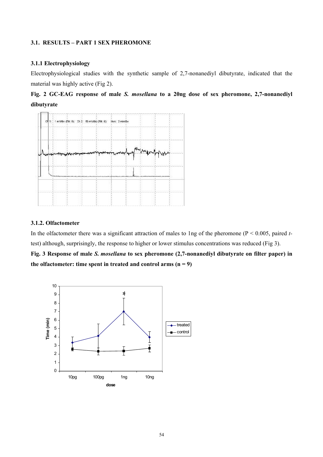# **3.1. RESULTS – PART 1 SEX PHEROMONE**

## **3.1.1 Electrophysiology**

Electrophysiological studies with the synthetic sample of 2,7-nonanediyl dibutyrate, indicated that the material was highly active (Fig 2).





# **3.1.2. Olfactometer**

In the olfactometer there was a significant attraction of males to 1ng of the pheromone (P < 0.005, paired *t*test) although, surprisingly, the response to higher or lower stimulus concentrations was reduced (Fig 3).

**Fig. 3 Response of male** *S. mosellana* **to sex pheromone (2,7-nonanediyl dibutyrate on filter paper) in**  the olfactometer: time spent in treated and control arms  $(n = 9)$ 

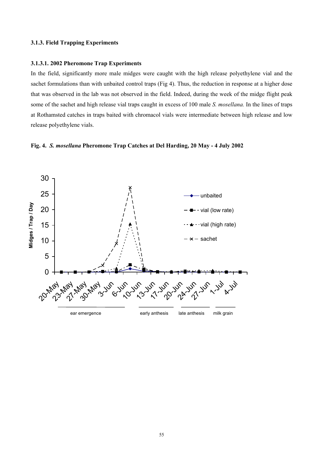### **3.1.3. Field Trapping Experiments**

### **3.1.3.1. 2002 Pheromone Trap Experiments**

In the field, significantly more male midges were caught with the high release polyethylene vial and the sachet formulations than with unbaited control traps (Fig 4). Thus, the reduction in response at a higher dose that was observed in the lab was not observed in the field. Indeed, during the week of the midge flight peak some of the sachet and high release vial traps caught in excess of 100 male *S. mosellana.* In the lines of traps at Rothamsted catches in traps baited with chromacol vials were intermediate between high release and low release polyethylene vials.



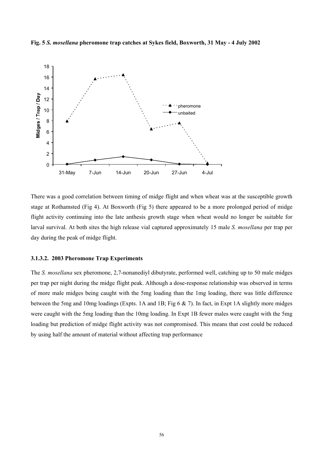**Fig. 5** *S. mosellana* **pheromone trap catches at Sykes field, Boxworth, 31 May - 4 July 2002** 



There was a good correlation between timing of midge flight and when wheat was at the susceptible growth stage at Rothamsted (Fig 4). At Boxworth (Fig 5) there appeared to be a more prolonged period of midge flight activity continuing into the late anthesis growth stage when wheat would no longer be suitable for larval survival. At both sites the high release vial captured approximately 15 male *S. mosellana* per trap per day during the peak of midge flight.

## **3.1.3.2. 2003 Pheromone Trap Experiments**

The *S. mosellana* sex pheromone, 2,7-nonanediyl dibutyrate, performed well, catching up to 50 male midges per trap per night during the midge flight peak. Although a dose-response relationship was observed in terms of more male midges being caught with the 5mg loading than the 1mg loading, there was little difference between the 5mg and 10mg loadings (Expts. 1A and 1B; Fig 6  $\&$  7). In fact, in Expt 1A slightly more midges were caught with the 5mg loading than the 10mg loading. In Expt 1B fewer males were caught with the 5mg loading but prediction of midge flight activity was not compromised. This means that cost could be reduced by using half the amount of material without affecting trap performance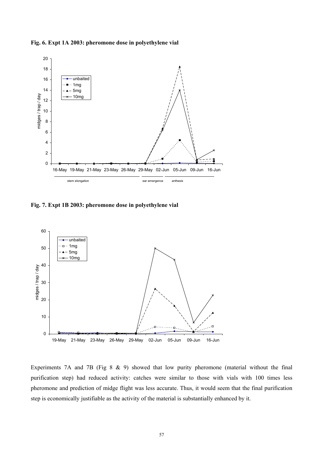**Fig. 6. Expt 1A 2003: pheromone dose in polyethylene vial** 



**Fig. 7. Expt 1B 2003: pheromone dose in polyethylene vial**



Experiments 7A and 7B (Fig 8 & 9) showed that low purity pheromone (material without the final purification step) had reduced activity: catches were similar to those with vials with 100 times less pheromone and prediction of midge flight was less accurate. Thus, it would seem that the final purification step is economically justifiable as the activity of the material is substantially enhanced by it.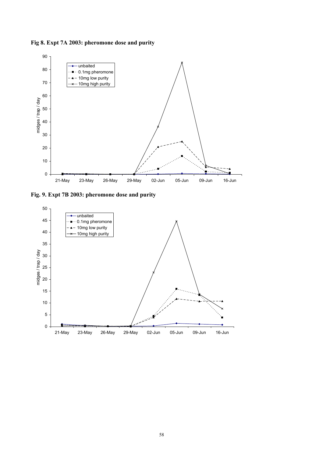**Fig 8. Expt 7A 2003: pheromone dose and purity** 



**Fig. 9. Expt 7B 2003: pheromone dose and purity** 

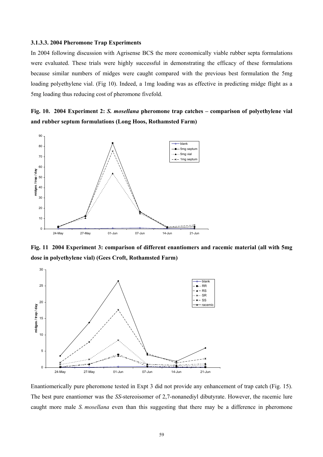### **3.1.3.3. 2004 Pheromone Trap Experiments**

In 2004 following discussion with Agrisense BCS the more economically viable rubber septa formulations were evaluated. These trials were highly successful in demonstrating the efficacy of these formulations because similar numbers of midges were caught compared with the previous best formulation the 5mg loading polyethylene vial. (Fig 10). Indeed, a 1mg loading was as effective in predicting midge flight as a 5mg loading thus reducing cost of pheromone fivefold.

**Fig. 10. 2004 Experiment 2:** *S. mosellana* **pheromone trap catches – comparison of polyethylene vial and rubber septum formulations (Long Hoos, Rothamsted Farm)** 



**Fig. 11 2004 Experiment 3: comparison of different enantiomers and racemic material (all with 5mg dose in polyethylene vial) (Gees Croft, Rothamsted Farm)** 



Enantiomerically pure pheromone tested in Expt 3 did not provide any enhancement of trap catch (Fig. 15). The best pure enantiomer was the *SS*-stereoisomer of 2,7-nonanediyl dibutyrate. However, the racemic lure caught more male *S. mosellana* even than this suggesting that there may be a difference in pheromone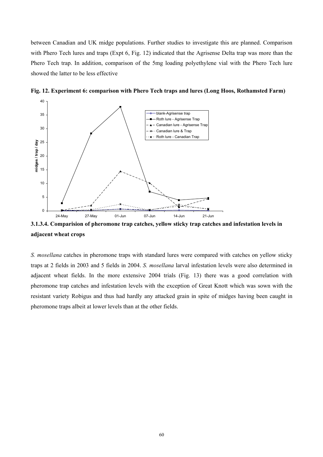between Canadian and UK midge populations. Further studies to investigate this are planned. Comparison with Phero Tech lures and traps (Expt 6, Fig. 12) indicated that the Agrisense Delta trap was more than the Phero Tech trap. In addition, comparison of the 5mg loading polyethylene vial with the Phero Tech lure showed the latter to be less effective



**Fig. 12. Experiment 6: comparison with Phero Tech traps and lures (Long Hoos, Rothamsted Farm)** 

**3.1.3.4. Comparision of pheromone trap catches, yellow sticky trap catches and infestation levels in adjacent wheat crops**

*S. mosellana* catches in pheromone traps with standard lures were compared with catches on yellow sticky traps at 2 fields in 2003 and 5 fields in 2004. *S. mosellana* larval infestation levels were also determined in adjacent wheat fields. In the more extensive 2004 trials (Fig. 13) there was a good correlation with pheromone trap catches and infestation levels with the exception of Great Knott which was sown with the resistant variety Robigus and thus had hardly any attacked grain in spite of midges having been caught in pheromone traps albeit at lower levels than at the other fields.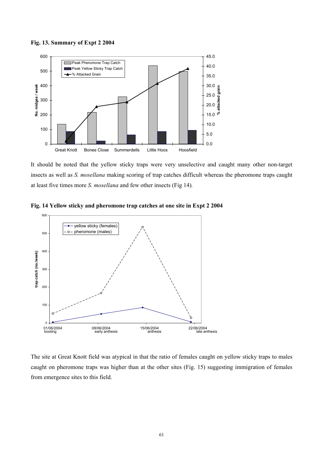



It should be noted that the yellow sticky traps were very unselective and caught many other non-target insects as well as *S. mosellana* making scoring of trap catches difficult whereas the pheromone traps caught at least five times more *S. mosellana* and few other insects (Fig 14)*.* 



**Fig. 14 Yellow sticky and pheromone trap catches at one site in Expt 2 2004** 

The site at Great Knott field was atypical in that the ratio of females caught on yellow sticky traps to males caught on pheromone traps was higher than at the other sites (Fig. 15) suggesting immigration of females from emergence sites to this field.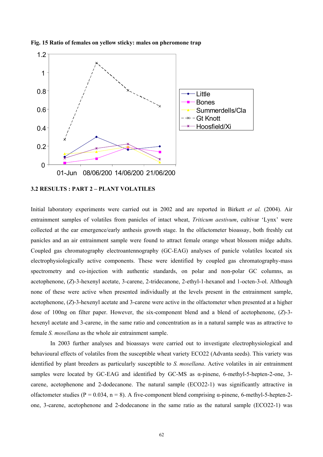

**Fig. 15 Ratio of females on yellow sticky: males on pheromone trap** 

### **3.2 RESULTS : PART 2 – PLANT VOLATILES**

Initial laboratory experiments were carried out in 2002 and are reported in Birkett *et al.* (2004). Air entrainment samples of volatiles from panicles of intact wheat, *Triticum aestivum*, cultivar 'Lynx' were collected at the ear emergence/early anthesis growth stage. In the olfactometer bioassay, both freshly cut panicles and an air entrainment sample were found to attract female orange wheat blossom midge adults. Coupled gas chromatography electroantennography (GC-EAG) analyses of panicle volatiles located six electrophysiologically active components. These were identified by coupled gas chromatography-mass spectrometry and co-injection with authentic standards, on polar and non-polar GC columns, as acetophenone, (*Z*)-3-hexenyl acetate, 3-carene, 2-tridecanone, 2-ethyl-1-hexanol and 1-octen-3-ol. Although none of these were active when presented individually at the levels present in the entrainment sample, acetophenone, (*Z*)-3-hexenyl acetate and 3-carene were active in the olfactometer when presented at a higher dose of 100ng on filter paper. However, the six-component blend and a blend of acetophenone, (*Z*)-3 hexenyl acetate and 3-carene, in the same ratio and concentration as in a natural sample was as attractive to female *S. mosellana* as the whole air entrainment sample.

 In 2003 further analyses and bioassays were carried out to investigate electrophysiological and behavioural effects of volatiles from the susceptible wheat variety ECO22 (Advanta seeds). This variety was identified by plant breeders as particularly susceptible to *S. mosellana*. Active volatiles in air entrainment samples were located by GC-EAG and identified by GC-MS as α-pinene, 6-methyl-5-hepten-2-one, 3 carene, acetophenone and 2-dodecanone. The natural sample (ECO22-1) was significantly attractive in olfactometer studies ( $P = 0.034$ ,  $n = 8$ ). A five-component blend comprising  $\alpha$ -pinene, 6-methyl-5-hepten-2one, 3-carene, acetophenone and 2-dodecanone in the same ratio as the natural sample (ECO22-1) was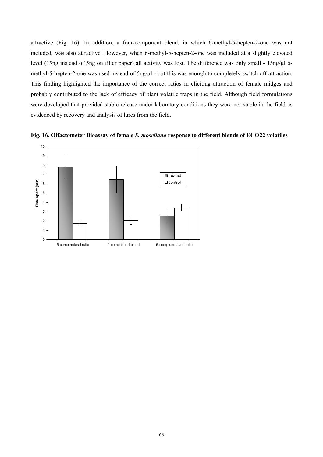attractive (Fig. 16). In addition, a four-component blend, in which 6-methyl-5-hepten-2-one was not included, was also attractive. However, when 6-methyl-5-hepten-2-one was included at a slightly elevated level (15ng instead of 5ng on filter paper) all activity was lost. The difference was only small - 15ng/ $\mu$ l 6methyl-5-hepten-2-one was used instead of  $5$ ng/ $\mu$ l - but this was enough to completely switch off attraction. This finding highlighted the importance of the correct ratios in eliciting attraction of female midges and probably contributed to the lack of efficacy of plant volatile traps in the field. Although field formulations were developed that provided stable release under laboratory conditions they were not stable in the field as evidenced by recovery and analysis of lures from the field.



**Fig. 16. Olfactometer Bioassay of female** *S. mosellana* **response to different blends of ECO22 volatiles**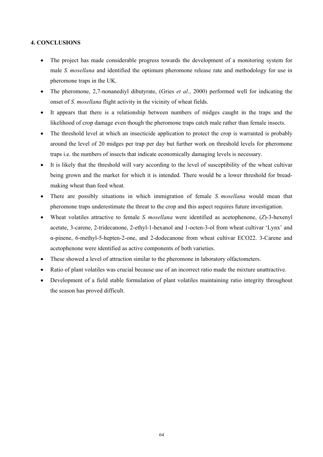# **4. CONCLUSIONS**

- The project has made considerable progress towards the development of a monitoring system for male *S. mosellana* and identified the optimum pheromone release rate and methodology for use in pheromone traps in the UK.
- The pheromone, 2,7-nonanediyl dibutyrate, (Gries *et al.*, 2000) performed well for indicating the onset of *S. mosellana* flight activity in the vicinity of wheat fields.
- It appears that there is a relationship between numbers of midges caught in the traps and the likelihood of crop damage even though the pheromone traps catch male rather than female insects.
- The threshold level at which an insecticide application to protect the crop is warranted is probably around the level of 20 midges per trap per day but further work on threshold levels for pheromone traps i.e. the numbers of insects that indicate economically damaging levels is necessary.
- It is likely that the threshold will vary according to the level of susceptibility of the wheat cultivar being grown and the market for which it is intended. There would be a lower threshold for breadmaking wheat than feed wheat.
- There are possibly situations in which immigration of female *S. mosellana* would mean that pheromone traps underestimate the threat to the crop and this aspect requires future investigation.
- Wheat volatiles attractive to female *S. mosellana* were identified as acetophenone, (*Z*)-3-hexenyl acetate, 3-carene, 2-tridecanone, 2-ethyl-1-hexanol and 1-octen-3-ol from wheat cultivar 'Lynx' and α-pinene, 6-methyl-5-hepten-2-one, and 2-dodecanone from wheat cultivar ECO22. 3-Carene and acetophenone were identified as active components of both varieties.
- These showed a level of attraction similar to the pheromone in laboratory olfactometers.
- Ratio of plant volatiles was crucial because use of an incorrect ratio made the mixture unattractive.
- Development of a field stable formulation of plant volatiles maintaining ratio integrity throughout the season has proved difficult.